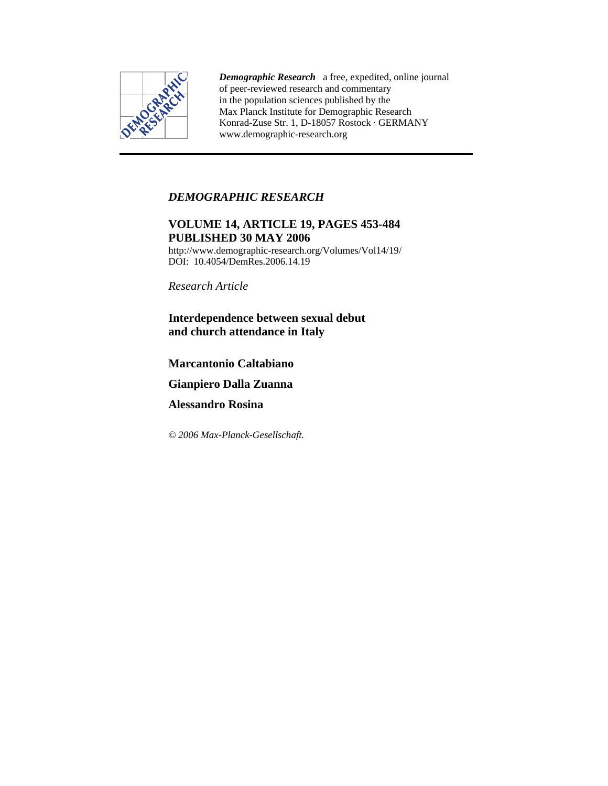

*Demographic Research* a free, expedited, online journal of peer-reviewed research and commentary in the population sciences published by the Max Planck Institute for Demographic Research Konrad-Zuse Str. 1, D-18057 Rostock · GERMANY www.demographic-research.org

# *DEMOGRAPHIC RESEARCH*

# **VOLUME 14, ARTICLE 19, PAGES 453-484 PUBLISHED 30 MAY 2006**

http://www.demographic-research.org/Volumes/Vol14/19/ DOI: 10.4054/DemRes.2006.14.19

*Research Article* 

**Interdependence between sexual debut and church attendance in Italy** 

**Marcantonio Caltabiano** 

**Gianpiero Dalla Zuanna** 

**Alessandro Rosina** 

*© 2006 Max-Planck-Gesellschaft.*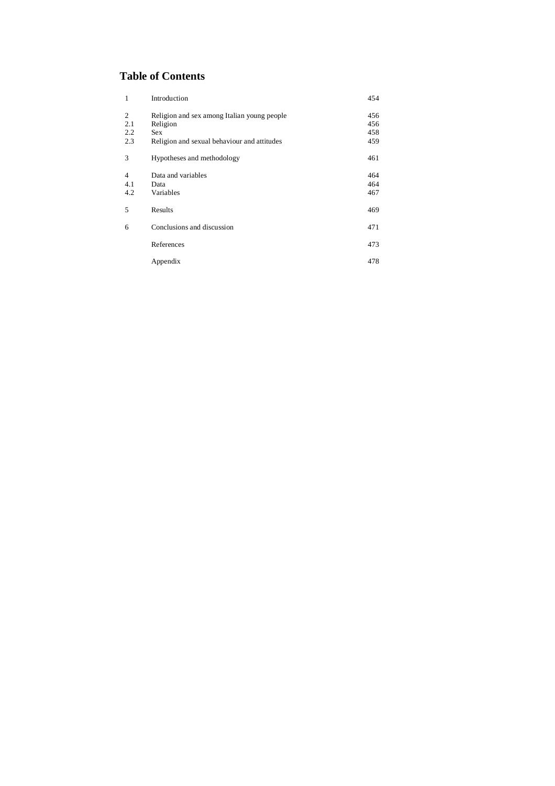# **Table of Contents**

| 1              | Introduction                                | 454 |
|----------------|---------------------------------------------|-----|
| 2              | Religion and sex among Italian young people | 456 |
| 2.1            | Religion                                    | 456 |
| 2.2            | <b>Sex</b>                                  | 458 |
| 2.3            | Religion and sexual behaviour and attitudes | 459 |
| 3              | Hypotheses and methodology                  | 461 |
| $\overline{4}$ | Data and variables                          | 464 |
| 4.1            | Data                                        | 464 |
| 4.2            | Variables                                   | 467 |
| 5              | Results                                     | 469 |
| 6              | Conclusions and discussion                  | 471 |
|                | References                                  | 473 |
|                | Appendix                                    | 478 |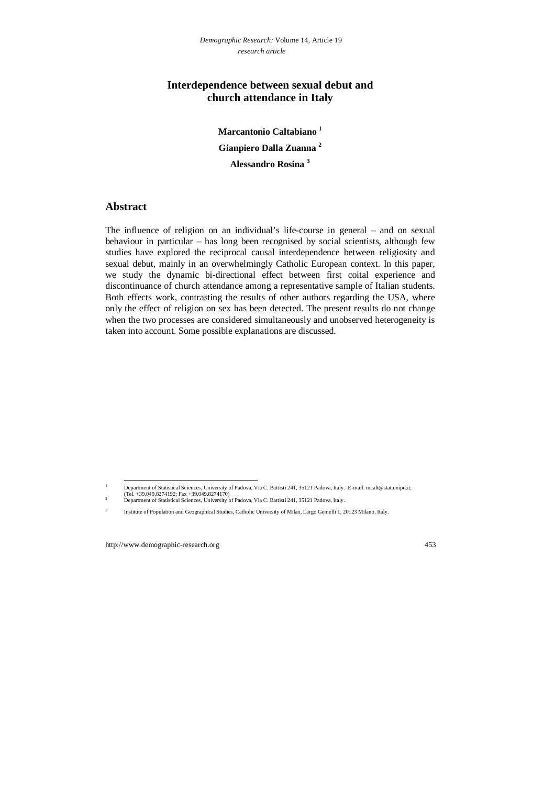## **Interdependence between sexual debut and church attendance in Italy**

**Marcantonio Caltabiano 1 Gianpiero Dalla Zuanna <sup>2</sup> Alessandro Rosina <sup>3</sup>**

## **Abstract**

The influence of religion on an individual's life-course in general – and on sexual behaviour in particular – has long been recognised by social scientists, although few studies have explored the reciprocal causal interdependence between religiosity and sexual debut, mainly in an overwhelmingly Catholic European context. In this paper, we study the dynamic bi-directional effect between first coital experience and discontinuance of church attendance among a representative sample of Italian students. Both effects work, contrasting the results of other authors regarding the USA, where only the effect of religion on sex has been detected. The present results do not change when the two processes are considered simultaneously and unobserved heterogeneity is taken into account. Some possible explanations are discussed.

 $\frac{1}{1}$  Department of Statistical Sciences, University of Padova, Via C. Battisti 241, 35121 Padova, Italy. E-mail: mcalt@stat.unipd.it; (Tel. +39.049.8274192; Fax +39.049.8274170)  $\overline{2}$ 

Department of Statistical Sciences, University of Padova, Via C. Battisti 241, 35121 Padova, Italy.

<sup>3</sup> Institute of Population and Geographical Studies, Catholic University of Milan, Largo Gemelli 1, 20123 Milano, Italy.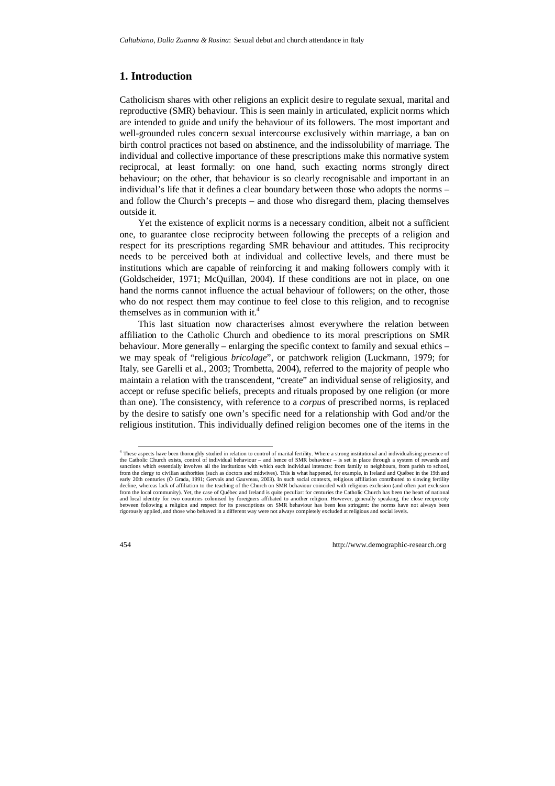## **1. Introduction**

Catholicism shares with other religions an explicit desire to regulate sexual, marital and reproductive (SMR) behaviour. This is seen mainly in articulated, explicit norms which are intended to guide and unify the behaviour of its followers. The most important and well-grounded rules concern sexual intercourse exclusively within marriage, a ban on birth control practices not based on abstinence, and the indissolubility of marriage. The individual and collective importance of these prescriptions make this normative system reciprocal, at least formally: on one hand, such exacting norms strongly direct behaviour; on the other, that behaviour is so clearly recognisable and important in an individual's life that it defines a clear boundary between those who adopts the norms – and follow the Church's precepts – and those who disregard them, placing themselves outside it.

Yet the existence of explicit norms is a necessary condition, albeit not a sufficient one, to guarantee close reciprocity between following the precepts of a religion and respect for its prescriptions regarding SMR behaviour and attitudes. This reciprocity needs to be perceived both at individual and collective levels, and there must be institutions which are capable of reinforcing it and making followers comply with it (Goldscheider, 1971; McQuillan, 2004). If these conditions are not in place, on one hand the norms cannot influence the actual behaviour of followers; on the other, those who do not respect them may continue to feel close to this religion, and to recognise themselves as in communion with it. $4$ 

This last situation now characterises almost everywhere the relation between affiliation to the Catholic Church and obedience to its moral prescriptions on SMR behaviour. More generally – enlarging the specific context to family and sexual ethics – we may speak of "religious *bricolage*", or patchwork religion (Luckmann, 1979; for Italy, see Garelli et al., 2003; Trombetta, 2004), referred to the majority of people who maintain a relation with the transcendent, "create" an individual sense of religiosity, and accept or refuse specific beliefs, precepts and rituals proposed by one religion (or more than one). The consistency, with reference to a *corpus* of prescribed norms, is replaced by the desire to satisfy one own's specific need for a relationship with God and/or the religious institution. This individually defined religion becomes one of the items in the

 <sup>4</sup> These aspects have been thoroughly studied in relation to control of marital fertility. Where a strong institutional and individualising presence of the Catholic Church exists, control of individual behaviour – and hence of SMR behaviour – is set in place through a system of rewards and sanctions which essentially involves all the institutions with which each individual interacts: from family to neighbours, from parish to school, from the clergy to civilian authorities (such as doctors and midwives). This is what happened, for example, in Ireland and Québec in the 19th and early 20th centuries (Ò Grada, 1991; Gervais and Gauvreau, 2003). In such social contexts, religious affiliation contributed to slowing fertility decline, whereas lack of affiliation to the teaching of the Church on SMR behaviour coincided with religious exclusion (and often part exclusion from the local community). Yet, the case of Québec and Ireland is quite peculiar: for centuries the Catholic Church has been the heart of national and local identity for two countries colonised by foreigners affiliated to another religion. However, generally speaking, the close reciprocity between following a religion and respect for its prescriptions on SMR behaviour has been less stringent: the norms have not always been rigorously applied, and those who behaved in a different way were not always completely excluded at religious and social levels.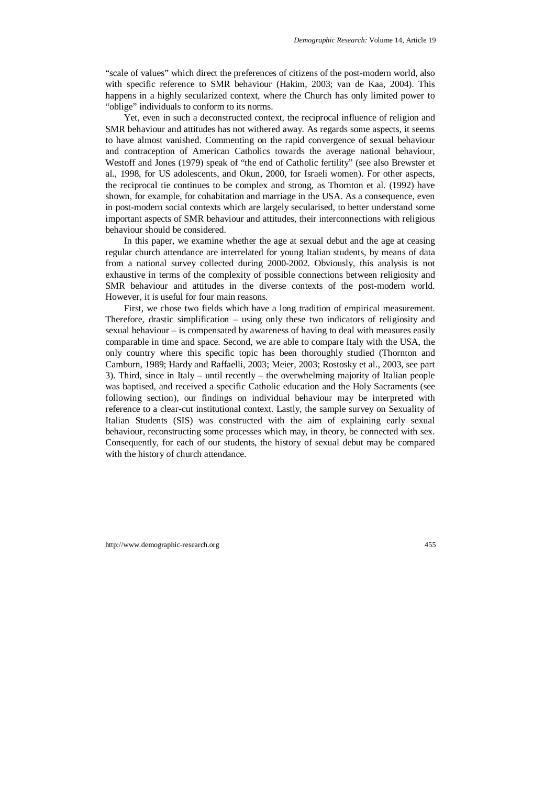"scale of values" which direct the preferences of citizens of the post-modern world, also with specific reference to SMR behaviour (Hakim, 2003; van de Kaa, 2004). This happens in a highly secularized context, where the Church has only limited power to "oblige" individuals to conform to its norms.

Yet, even in such a deconstructed context, the reciprocal influence of religion and SMR behaviour and attitudes has not withered away. As regards some aspects, it seems to have almost vanished. Commenting on the rapid convergence of sexual behaviour and contraception of American Catholics towards the average national behaviour, Westoff and Jones (1979) speak of "the end of Catholic fertility" (see also Brewster et al., 1998, for US adolescents, and Okun, 2000, for Israeli women). For other aspects, the reciprocal tie continues to be complex and strong, as Thornton et al. (1992) have shown, for example, for cohabitation and marriage in the USA. As a consequence, even in post-modern social contexts which are largely secularised, to better understand some important aspects of SMR behaviour and attitudes, their interconnections with religious behaviour should be considered.

In this paper, we examine whether the age at sexual debut and the age at ceasing regular church attendance are interrelated for young Italian students, by means of data from a national survey collected during 2000-2002. Obviously, this analysis is not exhaustive in terms of the complexity of possible connections between religiosity and SMR behaviour and attitudes in the diverse contexts of the post-modern world. However, it is useful for four main reasons.

First, we chose two fields which have a long tradition of empirical measurement. Therefore, drastic simplification – using only these two indicators of religiosity and sexual behaviour – is compensated by awareness of having to deal with measures easily comparable in time and space. Second, we are able to compare Italy with the USA, the only country where this specific topic has been thoroughly studied (Thornton and Camburn, 1989; Hardy and Raffaelli, 2003; Meier, 2003; Rostosky et al., 2003, see part 3). Third, since in Italy – until recently – the overwhelming majority of Italian people was baptised, and received a specific Catholic education and the Holy Sacraments (see following section), our findings on individual behaviour may be interpreted with reference to a clear-cut institutional context. Lastly, the sample survey on Sexuality of Italian Students (SIS) was constructed with the aim of explaining early sexual behaviour, reconstructing some processes which may, in theory, be connected with sex. Consequently, for each of our students, the history of sexual debut may be compared with the history of church attendance.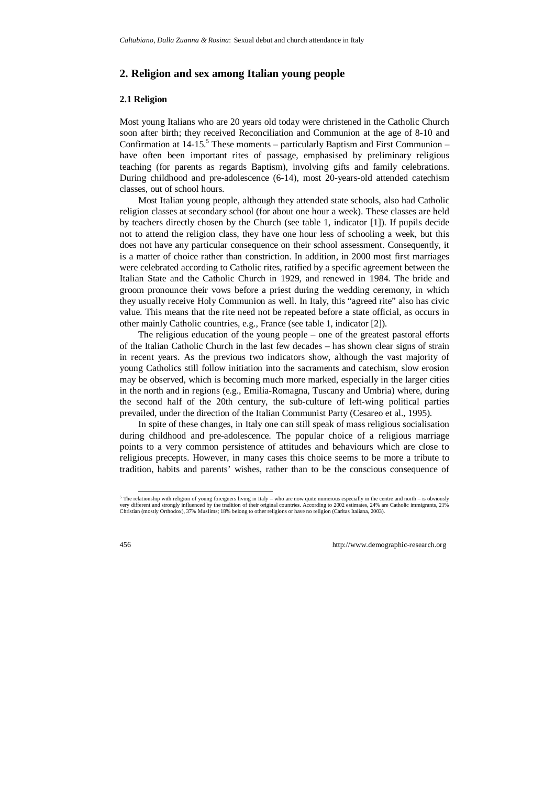## **2. Religion and sex among Italian young people**

#### **2.1 Religion**

Most young Italians who are 20 years old today were christened in the Catholic Church soon after birth; they received Reconciliation and Communion at the age of 8-10 and Confirmation at  $14-15$ .<sup>5</sup> These moments – particularly Baptism and First Communion – have often been important rites of passage, emphasised by preliminary religious teaching (for parents as regards Baptism), involving gifts and family celebrations. During childhood and pre-adolescence (6-14), most 20-years-old attended catechism classes, out of school hours.

Most Italian young people, although they attended state schools, also had Catholic religion classes at secondary school (for about one hour a week). These classes are held by teachers directly chosen by the Church (see table 1, indicator [1]). If pupils decide not to attend the religion class, they have one hour less of schooling a week, but this does not have any particular consequence on their school assessment. Consequently, it is a matter of choice rather than constriction. In addition, in 2000 most first marriages were celebrated according to Catholic rites, ratified by a specific agreement between the Italian State and the Catholic Church in 1929, and renewed in 1984. The bride and groom pronounce their vows before a priest during the wedding ceremony, in which they usually receive Holy Communion as well. In Italy, this "agreed rite" also has civic value. This means that the rite need not be repeated before a state official, as occurs in other mainly Catholic countries, e.g., France (see table 1, indicator [2]).

The religious education of the young people – one of the greatest pastoral efforts of the Italian Catholic Church in the last few decades – has shown clear signs of strain in recent years. As the previous two indicators show, although the vast majority of young Catholics still follow initiation into the sacraments and catechism, slow erosion may be observed, which is becoming much more marked, especially in the larger cities in the north and in regions (e.g., Emilia-Romagna, Tuscany and Umbria) where, during the second half of the 20th century, the sub-culture of left-wing political parties prevailed, under the direction of the Italian Communist Party (Cesareo et al., 1995).

In spite of these changes, in Italy one can still speak of mass religious socialisation during childhood and pre-adolescence. The popular choice of a religious marriage points to a very common persistence of attitudes and behaviours which are close to religious precepts. However, in many cases this choice seems to be more a tribute to tradition, habits and parents' wishes, rather than to be the conscious consequence of

 <sup>5</sup> The relationship with religion of young foreigners living in Italy – who are now quite numerous especially in the centre and north – is obviously very different and strongly influenced by the tradition of their original countries. According to 2002 estimates, 24% are Catholic immigrants, 21% Christian (mostly Orthodox), 37% Muslims; 18% belong to other religions or have no religion (Caritas Italiana, 2003).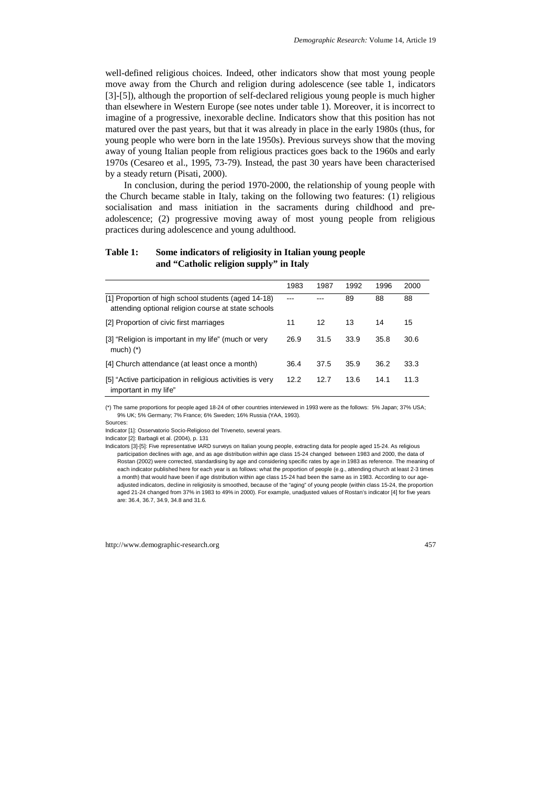well-defined religious choices. Indeed, other indicators show that most young people move away from the Church and religion during adolescence (see table 1, indicators [3]-[5]), although the proportion of self-declared religious young people is much higher than elsewhere in Western Europe (see notes under table 1). Moreover, it is incorrect to imagine of a progressive, inexorable decline. Indicators show that this position has not matured over the past years, but that it was already in place in the early 1980s (thus, for young people who were born in the late 1950s). Previous surveys show that the moving away of young Italian people from religious practices goes back to the 1960s and early 1970s (Cesareo et al., 1995, 73-79). Instead, the past 30 years have been characterised by a steady return (Pisati, 2000).

In conclusion, during the period 1970-2000, the relationship of young people with the Church became stable in Italy, taking on the following two features: (1) religious socialisation and mass initiation in the sacraments during childhood and preadolescence; (2) progressive moving away of most young people from religious practices during adolescence and young adulthood.

|                                                                                                            | 1983 | 1987 | 1992 | 1996 | 2000 |
|------------------------------------------------------------------------------------------------------------|------|------|------|------|------|
| [1] Proportion of high school students (aged 14-18)<br>attending optional religion course at state schools |      |      | 89   | 88   | 88   |
| [2] Proportion of civic first marriages                                                                    | 11   | 12   | 13   | 14   | 15   |
| [3] "Religion is important in my life" (much or very<br>much) $(*)$                                        | 26.9 | 31.5 | 33.9 | 35.8 | 30.6 |
| [4] Church attendance (at least once a month)                                                              | 36.4 | 37.5 | 35.9 | 36.2 | 33.3 |
| [5] "Active participation in religious activities is very<br>important in my life"                         | 12.2 | 12.7 | 13.6 | 14.1 | 11.3 |

### **Table 1: Some indicators of religiosity in Italian young people and "Catholic religion supply" in Italy**

(\*) The same proportions for people aged 18-24 of other countries interviewed in 1993 were as the follows: 5% Japan; 37% USA; 9% UK; 5% Germany; 7% France; 6% Sweden; 16% Russia (YAA, 1993).

Sources:

Indicator [1]: Osservatorio Socio-Religioso del Triveneto, several years.

Indicator [2]: Barbagli et al. (2004), p. 131

Indicators [3]-[5]: Five representative IARD surveys on Italian young people, extracting data for people aged 15-24. As religious participation declines with age, and as age distribution within age class 15-24 changed between 1983 and 2000, the data of Rostan (2002) were corrected, standardising by age and considering specific rates by age in 1983 as reference. The meaning of each indicator published here for each year is as follows: what the proportion of people (e.g., attending church at least 2-3 times a month) that would have been if age distribution within age class 15-24 had been the same as in 1983. According to our ageadjusted indicators, decline in religiosity is smoothed, because of the "aging" of young people (within class 15-24, the proportion aged 21-24 changed from 37% in 1983 to 49% in 2000). For example, unadjusted values of Rostan's indicator [4] for five years are: 36.4, 36.7, 34.9, 34.8 and 31.6.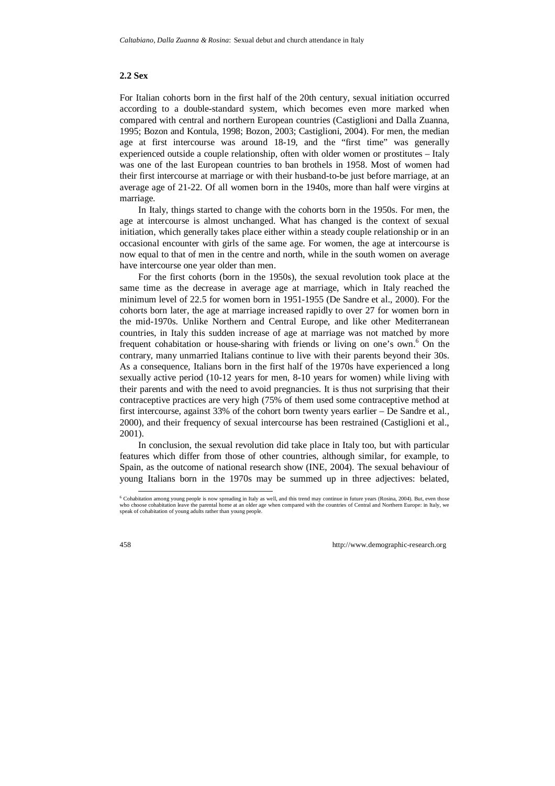### **2.2 Sex**

For Italian cohorts born in the first half of the 20th century, sexual initiation occurred according to a double-standard system, which becomes even more marked when compared with central and northern European countries (Castiglioni and Dalla Zuanna, 1995; Bozon and Kontula, 1998; Bozon, 2003; Castiglioni, 2004). For men, the median age at first intercourse was around 18-19, and the "first time" was generally experienced outside a couple relationship, often with older women or prostitutes – Italy was one of the last European countries to ban brothels in 1958. Most of women had their first intercourse at marriage or with their husband-to-be just before marriage, at an average age of 21-22. Of all women born in the 1940s, more than half were virgins at marriage.

In Italy, things started to change with the cohorts born in the 1950s. For men, the age at intercourse is almost unchanged. What has changed is the context of sexual initiation, which generally takes place either within a steady couple relationship or in an occasional encounter with girls of the same age. For women, the age at intercourse is now equal to that of men in the centre and north, while in the south women on average have intercourse one year older than men.

For the first cohorts (born in the 1950s), the sexual revolution took place at the same time as the decrease in average age at marriage, which in Italy reached the minimum level of 22.5 for women born in 1951-1955 (De Sandre et al., 2000). For the cohorts born later, the age at marriage increased rapidly to over 27 for women born in the mid-1970s. Unlike Northern and Central Europe, and like other Mediterranean countries, in Italy this sudden increase of age at marriage was not matched by more frequent cohabitation or house-sharing with friends or living on one's own.<sup>6</sup> On the contrary, many unmarried Italians continue to live with their parents beyond their 30s. As a consequence, Italians born in the first half of the 1970s have experienced a long sexually active period (10-12 years for men, 8-10 years for women) while living with their parents and with the need to avoid pregnancies. It is thus not surprising that their contraceptive practices are very high (75% of them used some contraceptive method at first intercourse, against 33% of the cohort born twenty years earlier – De Sandre et al., 2000), and their frequency of sexual intercourse has been restrained (Castiglioni et al., 2001).

In conclusion, the sexual revolution did take place in Italy too, but with particular features which differ from those of other countries, although similar, for example, to Spain, as the outcome of national research show (INE, 2004). The sexual behaviour of young Italians born in the 1970s may be summed up in three adjectives: belated,

<sup>&</sup>lt;sub>6</sub><br>6 Cohabitation among young people is now spreading in Italy as well, and this trend may continue in future years (Rosina, 2004). But, even those who choose cohabitation leave the parental home at an older age when compared with the countries of Central and Northern Europe: in Italy, we speak of cohabitation of young adults rather than young people.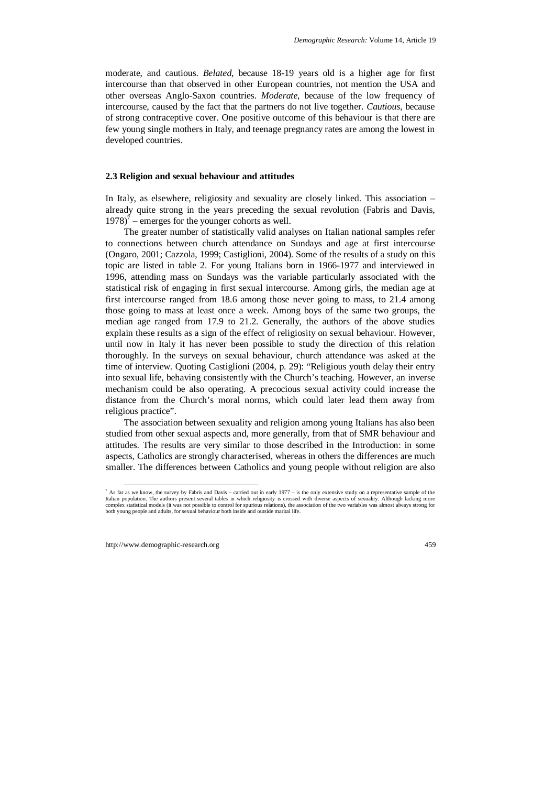moderate, and cautious. *Belated*, because 18-19 years old is a higher age for first intercourse than that observed in other European countries, not mention the USA and other overseas Anglo-Saxon countries. *Moderate*, because of the low frequency of intercourse, caused by the fact that the partners do not live together. *Cautious*, because of strong contraceptive cover. One positive outcome of this behaviour is that there are few young single mothers in Italy, and teenage pregnancy rates are among the lowest in developed countries.

#### **2.3 Religion and sexual behaviour and attitudes**

In Italy, as elsewhere, religiosity and sexuality are closely linked. This association – already quite strong in the years preceding the sexual revolution (Fabris and Davis,  $1978$ <sup>7</sup> – emerges for the younger cohorts as well.

The greater number of statistically valid analyses on Italian national samples refer to connections between church attendance on Sundays and age at first intercourse (Ongaro, 2001; Cazzola, 1999; Castiglioni, 2004). Some of the results of a study on this topic are listed in table 2. For young Italians born in 1966-1977 and interviewed in 1996, attending mass on Sundays was the variable particularly associated with the statistical risk of engaging in first sexual intercourse. Among girls, the median age at first intercourse ranged from 18.6 among those never going to mass, to 21.4 among those going to mass at least once a week. Among boys of the same two groups, the median age ranged from 17.9 to 21.2. Generally, the authors of the above studies explain these results as a sign of the effect of religiosity on sexual behaviour. However, until now in Italy it has never been possible to study the direction of this relation thoroughly. In the surveys on sexual behaviour, church attendance was asked at the time of interview. Quoting Castiglioni (2004, p. 29): "Religious youth delay their entry into sexual life, behaving consistently with the Church's teaching. However, an inverse mechanism could be also operating. A precocious sexual activity could increase the distance from the Church's moral norms, which could later lead them away from religious practice".

The association between sexuality and religion among young Italians has also been studied from other sexual aspects and, more generally, from that of SMR behaviour and attitudes. The results are very similar to those described in the Introduction: in some aspects, Catholics are strongly characterised, whereas in others the differences are much smaller. The differences between Catholics and young people without religion are also

<sup>&</sup>lt;sup>7</sup> As far as we know, the survey by Fabris and Davis – carried out in early 1977 – is the only extensive study on a representative sample of the Italian population. The authors present several tables in which religiosity is crossed with diverse aspects of sexuality. Although lacking more complex statistical models (it was not possible to control for spurious relations), the association of the two variables was almost always strong for both young people and adults, for sexual behaviour both inside and outside marital life.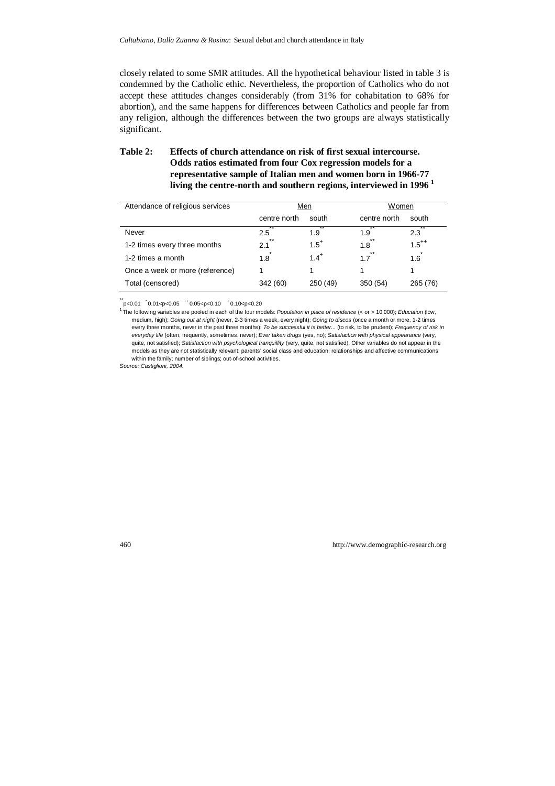closely related to some SMR attitudes. All the hypothetical behaviour listed in table 3 is condemned by the Catholic ethic. Nevertheless, the proportion of Catholics who do not accept these attitudes changes considerably (from 31% for cohabitation to 68% for abortion), and the same happens for differences between Catholics and people far from any religion, although the differences between the two groups are always statistically significant.

## **Table 2: Effects of church attendance on risk of first sexual intercourse. Odds ratios estimated from four Cox regression models for a representative sample of Italian men and women born in 1966-77 living the centre-north and southern regions, interviewed in 1996 <sup>1</sup>**

| Attendance of religious services |              | Men       | Women        |            |  |
|----------------------------------|--------------|-----------|--------------|------------|--|
|                                  | centre north | south     | centre north | south      |  |
| Never                            | 2.5          | 1.9       | 1.9          | 2.3        |  |
| 1-2 times every three months     | $* *$<br>2.1 | $1.5^+$   | $*$<br>1.8   | $1.5^{++}$ |  |
| 1-2 times a month                | 1.8          | $1.4^{+}$ | $***$<br>1.7 | 1.6        |  |
| Once a week or more (reference)  |              |           |              |            |  |
| Total (censored)                 | 342 (60)     | 250 (49)  | 350(54)      | 265 (76)   |  |

 $p$  < 0.01  $\degree$  0.01 < p < 0.05  $+$  0.05 < p < 0.10  $\degree$  0.10 < p < 0.20

Source: Castiglioni, 2004.

<sup>&</sup>lt;sup>1</sup> The following variables are pooled in each of the four models: Population in place of residence (< or > 10,000); Education (low, medium, high); Going out at night (never, 2-3 times a week, every night); Going to discos (once a month or more, 1-2 times every three months, never in the past three months); To be successful it is better... (to risk, to be prudent); Frequency of risk in everyday life (often, frequently, sometimes, never); Ever taken drugs (yes, no); Satisfaction with physical appearance (very, quite, not satisfied); Satisfaction with psychological tranquillity (very, quite, not satisfied). Other variables do not appear in the models as they are not statistically relevant: parents' social class and education; relationships and affective communications within the family; number of siblings; out-of-school activities.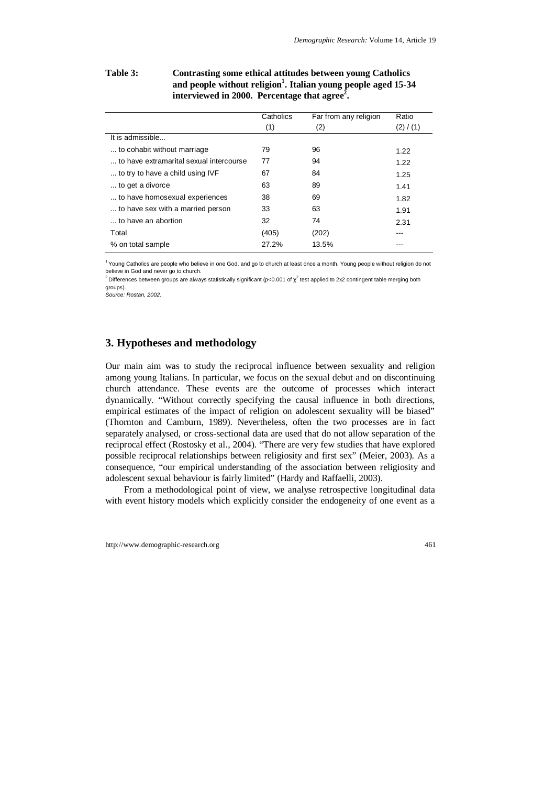## **Table 3: Contrasting some ethical attitudes between young Catholics**  and people without religion<sup>1</sup>. Italian young people aged 15-34 interviewed in 2000. Percentage that agree<sup>2</sup>.

|                                         | Catholics<br>(1) | Far from any religion<br>(2) | Ratio<br>(2) / (1) |
|-----------------------------------------|------------------|------------------------------|--------------------|
| It is admissible                        |                  |                              |                    |
| to cohabit without marriage             | 79               | 96                           | 1.22               |
| to have extramarital sexual intercourse | 77               | 94                           | 1.22               |
| to try to have a child using IVF        | 67               | 84                           | 1.25               |
| to get a divorce                        | 63               | 89                           | 1.41               |
| to have homosexual experiences          | 38               | 69                           | 1.82               |
| to have sex with a married person       | 33               | 63                           | 1.91               |
| to have an abortion                     | 32               | 74                           | 2.31               |
| Total                                   | (405)            | (202)                        |                    |
| % on total sample                       | 27.2%            | 13.5%                        |                    |

<sup>1</sup> Young Catholics are people who believe in one God, and go to church at least once a month. Young people without religion do not believe in God and never go to church.

<sup>2</sup> Differences between groups are always statistically significant (p<0.001 of  $\chi^2$  test applied to 2x2 contingent table merging both groups).

Source: Rostan, 2002.

## **3. Hypotheses and methodology**

Our main aim was to study the reciprocal influence between sexuality and religion among young Italians. In particular, we focus on the sexual debut and on discontinuing church attendance. These events are the outcome of processes which interact dynamically. "Without correctly specifying the causal influence in both directions, empirical estimates of the impact of religion on adolescent sexuality will be biased" (Thornton and Camburn, 1989). Nevertheless, often the two processes are in fact separately analysed, or cross-sectional data are used that do not allow separation of the reciprocal effect (Rostosky et al., 2004). "There are very few studies that have explored possible reciprocal relationships between religiosity and first sex" (Meier, 2003). As a consequence, "our empirical understanding of the association between religiosity and adolescent sexual behaviour is fairly limited" (Hardy and Raffaelli, 2003).

From a methodological point of view, we analyse retrospective longitudinal data with event history models which explicitly consider the endogeneity of one event as a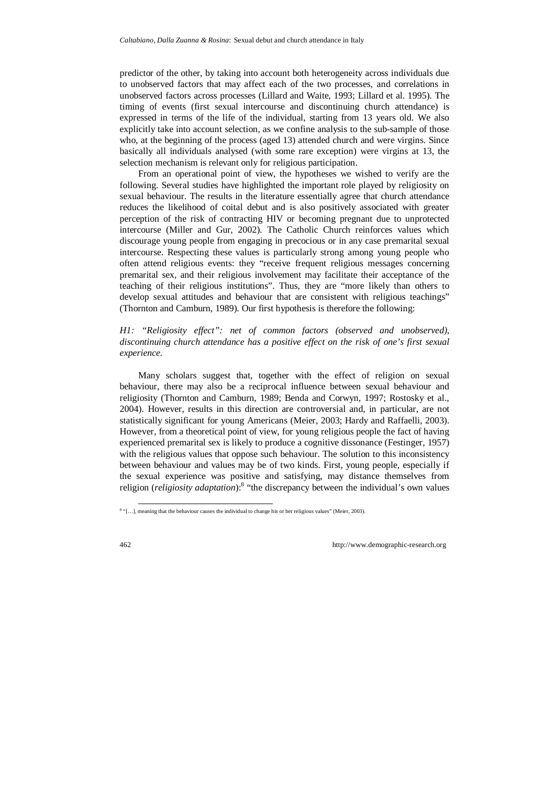predictor of the other, by taking into account both heterogeneity across individuals due to unobserved factors that may affect each of the two processes, and correlations in unobserved factors across processes (Lillard and Waite, 1993; Lillard et al. 1995). The timing of events (first sexual intercourse and discontinuing church attendance) is expressed in terms of the life of the individual, starting from 13 years old. We also explicitly take into account selection, as we confine analysis to the sub-sample of those who, at the beginning of the process (aged 13) attended church and were virgins. Since basically all individuals analysed (with some rare exception) were virgins at 13, the selection mechanism is relevant only for religious participation.

From an operational point of view, the hypotheses we wished to verify are the following. Several studies have highlighted the important role played by religiosity on sexual behaviour. The results in the literature essentially agree that church attendance reduces the likelihood of coital debut and is also positively associated with greater perception of the risk of contracting HIV or becoming pregnant due to unprotected intercourse (Miller and Gur, 2002). The Catholic Church reinforces values which discourage young people from engaging in precocious or in any case premarital sexual intercourse. Respecting these values is particularly strong among young people who often attend religious events: they "receive frequent religious messages concerning premarital sex, and their religious involvement may facilitate their acceptance of the teaching of their religious institutions". Thus, they are "more likely than others to develop sexual attitudes and behaviour that are consistent with religious teachings" (Thornton and Camburn, 1989). Our first hypothesis is therefore the following:

## *H1: "Religiosity effect": net of common factors (observed and unobserved), discontinuing church attendance has a positive effect on the risk of one's first sexual experience.*

Many scholars suggest that, together with the effect of religion on sexual behaviour, there may also be a reciprocal influence between sexual behaviour and religiosity (Thornton and Camburn, 1989; Benda and Corwyn, 1997; Rostosky et al., 2004). However, results in this direction are controversial and, in particular, are not statistically significant for young Americans (Meier, 2003; Hardy and Raffaelli, 2003). However, from a theoretical point of view, for young religious people the fact of having experienced premarital sex is likely to produce a cognitive dissonance (Festinger, 1957) with the religious values that oppose such behaviour. The solution to this inconsistency between behaviour and values may be of two kinds. First, young people, especially if the sexual experience was positive and satisfying, may distance themselves from religion (*religiosity adaptation*):<sup>8</sup> "the discrepancy between the individual's own values

<sup>&</sup>lt;sup>8</sup> "[...], meaning that the behaviour causes the individual to change his or her religious values" (Meier, 2003).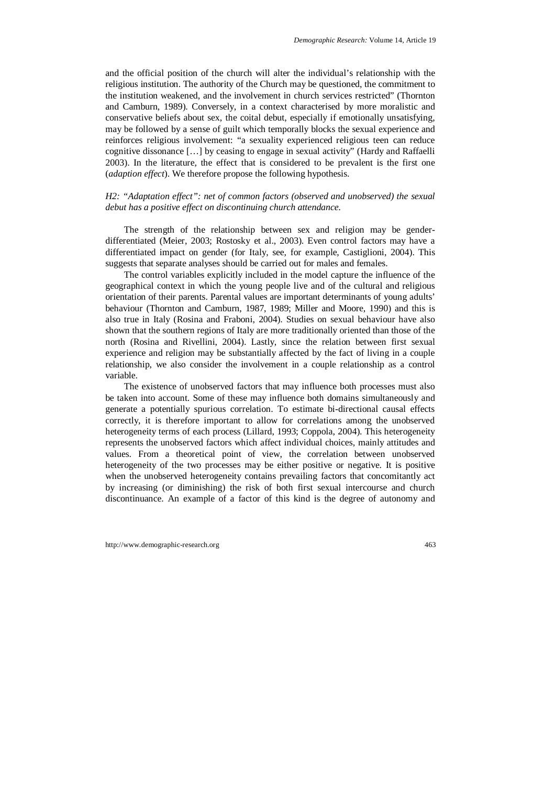and the official position of the church will alter the individual's relationship with the religious institution. The authority of the Church may be questioned, the commitment to the institution weakened, and the involvement in church services restricted" (Thornton and Camburn, 1989). Conversely, in a context characterised by more moralistic and conservative beliefs about sex, the coital debut, especially if emotionally unsatisfying, may be followed by a sense of guilt which temporally blocks the sexual experience and reinforces religious involvement: "a sexuality experienced religious teen can reduce cognitive dissonance […] by ceasing to engage in sexual activity" (Hardy and Raffaelli 2003). In the literature, the effect that is considered to be prevalent is the first one (*adaption effect*). We therefore propose the following hypothesis.

### *H2: "Adaptation effect": net of common factors (observed and unobserved) the sexual debut has a positive effect on discontinuing church attendance.*

The strength of the relationship between sex and religion may be genderdifferentiated (Meier, 2003; Rostosky et al., 2003). Even control factors may have a differentiated impact on gender (for Italy, see, for example, Castiglioni, 2004). This suggests that separate analyses should be carried out for males and females.

The control variables explicitly included in the model capture the influence of the geographical context in which the young people live and of the cultural and religious orientation of their parents. Parental values are important determinants of young adults' behaviour (Thornton and Camburn, 1987, 1989; Miller and Moore, 1990) and this is also true in Italy (Rosina and Fraboni, 2004). Studies on sexual behaviour have also shown that the southern regions of Italy are more traditionally oriented than those of the north (Rosina and Rivellini, 2004). Lastly, since the relation between first sexual experience and religion may be substantially affected by the fact of living in a couple relationship, we also consider the involvement in a couple relationship as a control variable.

The existence of unobserved factors that may influence both processes must also be taken into account. Some of these may influence both domains simultaneously and generate a potentially spurious correlation. To estimate bi-directional causal effects correctly, it is therefore important to allow for correlations among the unobserved heterogeneity terms of each process (Lillard, 1993; Coppola, 2004). This heterogeneity represents the unobserved factors which affect individual choices, mainly attitudes and values. From a theoretical point of view, the correlation between unobserved heterogeneity of the two processes may be either positive or negative. It is positive when the unobserved heterogeneity contains prevailing factors that concomitantly act by increasing (or diminishing) the risk of both first sexual intercourse and church discontinuance. An example of a factor of this kind is the degree of autonomy and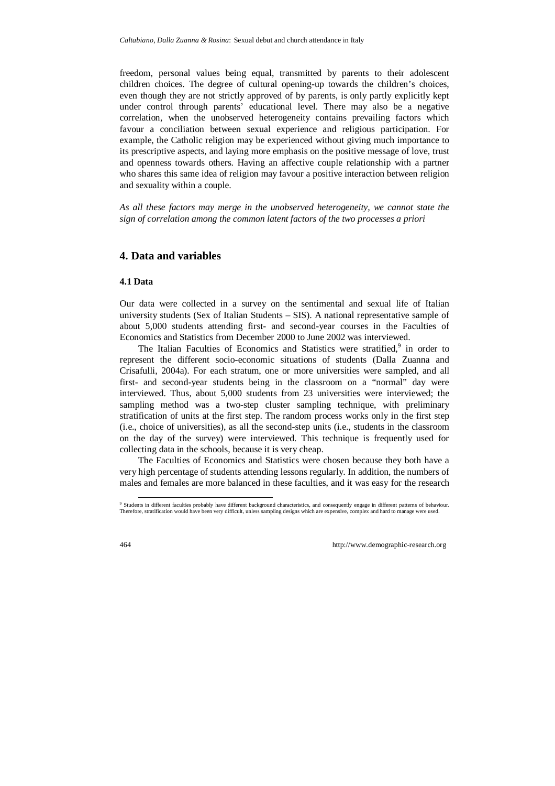freedom, personal values being equal, transmitted by parents to their adolescent children choices. The degree of cultural opening-up towards the children's choices, even though they are not strictly approved of by parents, is only partly explicitly kept under control through parents' educational level. There may also be a negative correlation, when the unobserved heterogeneity contains prevailing factors which favour a conciliation between sexual experience and religious participation. For example, the Catholic religion may be experienced without giving much importance to its prescriptive aspects, and laying more emphasis on the positive message of love, trust and openness towards others. Having an affective couple relationship with a partner who shares this same idea of religion may favour a positive interaction between religion and sexuality within a couple.

*As all these factors may merge in the unobserved heterogeneity, we cannot state the sign of correlation among the common latent factors of the two processes a priori* 

## **4. Data and variables**

#### **4.1 Data**

Our data were collected in a survey on the sentimental and sexual life of Italian university students (Sex of Italian Students – SIS). A national representative sample of about 5,000 students attending first- and second-year courses in the Faculties of Economics and Statistics from December 2000 to June 2002 was interviewed.

The Italian Faculties of Economics and Statistics were stratified,<sup>9</sup> in order to represent the different socio-economic situations of students (Dalla Zuanna and Crisafulli, 2004a). For each stratum, one or more universities were sampled, and all first- and second-year students being in the classroom on a "normal" day were interviewed. Thus, about 5,000 students from 23 universities were interviewed; the sampling method was a two-step cluster sampling technique, with preliminary stratification of units at the first step. The random process works only in the first step (i.e., choice of universities), as all the second-step units (i.e., students in the classroom on the day of the survey) were interviewed. This technique is frequently used for collecting data in the schools, because it is very cheap.

The Faculties of Economics and Statistics were chosen because they both have a very high percentage of students attending lessons regularly. In addition, the numbers of males and females are more balanced in these faculties, and it was easy for the research

 <sup>9</sup> Students in different faculties probably have different background characteristics, and consequently engage in different patterns of behaviour. Therefore, stratification would have been very difficult, unless sampling designs which are expensive, complex and hard to manage were used.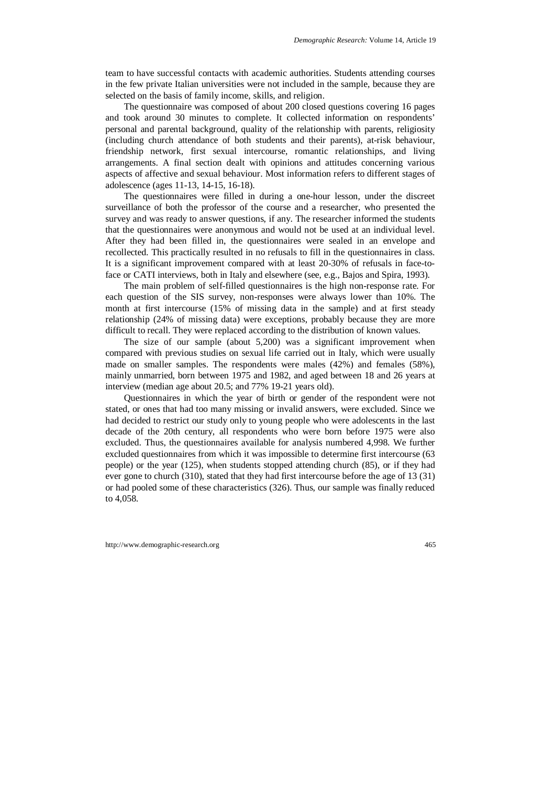team to have successful contacts with academic authorities. Students attending courses in the few private Italian universities were not included in the sample, because they are selected on the basis of family income, skills, and religion.

The questionnaire was composed of about 200 closed questions covering 16 pages and took around 30 minutes to complete. It collected information on respondents' personal and parental background, quality of the relationship with parents, religiosity (including church attendance of both students and their parents), at-risk behaviour, friendship network, first sexual intercourse, romantic relationships, and living arrangements. A final section dealt with opinions and attitudes concerning various aspects of affective and sexual behaviour. Most information refers to different stages of adolescence (ages 11-13, 14-15, 16-18).

The questionnaires were filled in during a one-hour lesson, under the discreet surveillance of both the professor of the course and a researcher, who presented the survey and was ready to answer questions, if any. The researcher informed the students that the questionnaires were anonymous and would not be used at an individual level. After they had been filled in, the questionnaires were sealed in an envelope and recollected. This practically resulted in no refusals to fill in the questionnaires in class. It is a significant improvement compared with at least 20-30% of refusals in face-toface or CATI interviews, both in Italy and elsewhere (see, e.g., Bajos and Spira, 1993).

The main problem of self-filled questionnaires is the high non-response rate. For each question of the SIS survey, non-responses were always lower than 10%. The month at first intercourse (15% of missing data in the sample) and at first steady relationship (24% of missing data) were exceptions, probably because they are more difficult to recall. They were replaced according to the distribution of known values.

The size of our sample (about 5,200) was a significant improvement when compared with previous studies on sexual life carried out in Italy, which were usually made on smaller samples. The respondents were males (42%) and females (58%), mainly unmarried, born between 1975 and 1982, and aged between 18 and 26 years at interview (median age about 20.5; and 77% 19-21 years old).

Questionnaires in which the year of birth or gender of the respondent were not stated, or ones that had too many missing or invalid answers, were excluded. Since we had decided to restrict our study only to young people who were adolescents in the last decade of the 20th century, all respondents who were born before 1975 were also excluded. Thus, the questionnaires available for analysis numbered 4,998. We further excluded questionnaires from which it was impossible to determine first intercourse (63 people) or the year (125), when students stopped attending church (85), or if they had ever gone to church (310), stated that they had first intercourse before the age of 13 (31) or had pooled some of these characteristics (326). Thus, our sample was finally reduced to 4,058.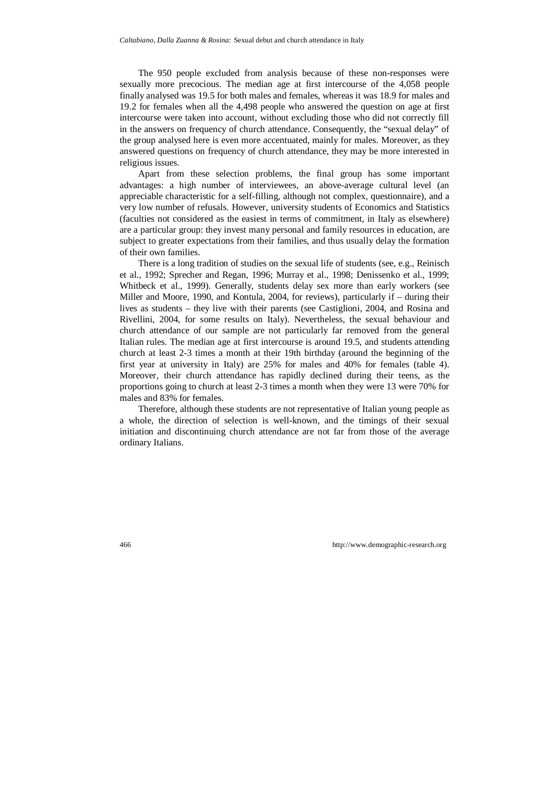The 950 people excluded from analysis because of these non-responses were sexually more precocious. The median age at first intercourse of the 4,058 people finally analysed was 19.5 for both males and females, whereas it was 18.9 for males and 19.2 for females when all the 4,498 people who answered the question on age at first intercourse were taken into account, without excluding those who did not correctly fill in the answers on frequency of church attendance. Consequently, the "sexual delay" of the group analysed here is even more accentuated, mainly for males. Moreover, as they answered questions on frequency of church attendance, they may be more interested in religious issues.

Apart from these selection problems, the final group has some important advantages: a high number of interviewees, an above-average cultural level (an appreciable characteristic for a self-filling, although not complex, questionnaire), and a very low number of refusals. However, university students of Economics and Statistics (faculties not considered as the easiest in terms of commitment, in Italy as elsewhere) are a particular group: they invest many personal and family resources in education, are subject to greater expectations from their families, and thus usually delay the formation of their own families.

There is a long tradition of studies on the sexual life of students (see, e.g., Reinisch et al., 1992; Sprecher and Regan, 1996; Murray et al., 1998; Denissenko et al., 1999; Whitbeck et al., 1999). Generally, students delay sex more than early workers (see Miller and Moore, 1990, and Kontula, 2004, for reviews), particularly if – during their lives as students – they live with their parents (see Castiglioni, 2004, and Rosina and Rivellini, 2004, for some results on Italy). Nevertheless, the sexual behaviour and church attendance of our sample are not particularly far removed from the general Italian rules. The median age at first intercourse is around 19.5, and students attending church at least 2-3 times a month at their 19th birthday (around the beginning of the first year at university in Italy) are 25% for males and 40% for females (table 4). Moreover, their church attendance has rapidly declined during their teens, as the proportions going to church at least 2-3 times a month when they were 13 were 70% for males and 83% for females.

Therefore, although these students are not representative of Italian young people as a whole, the direction of selection is well-known, and the timings of their sexual initiation and discontinuing church attendance are not far from those of the average ordinary Italians.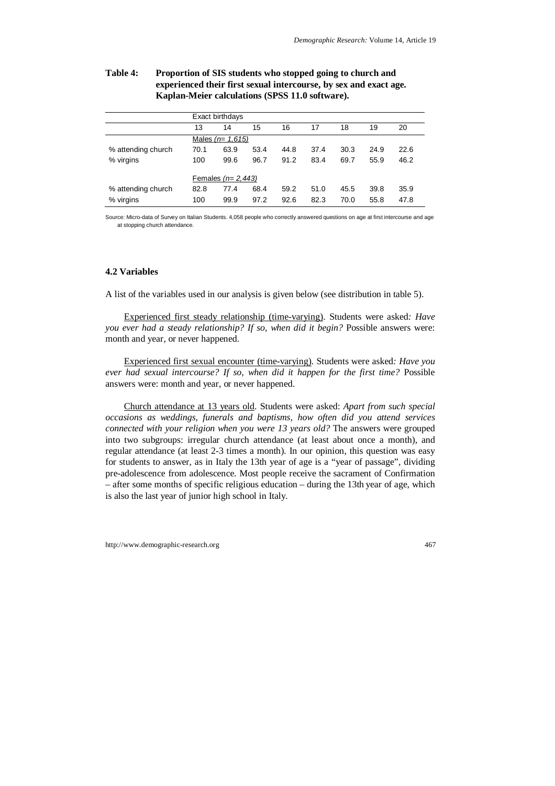### **Table 4: Proportion of SIS students who stopped going to church and experienced their first sexual intercourse, by sex and exact age. Kaplan-Meier calculations (SPSS 11.0 software).**

|                    |                     | Exact birthdays   |      |      |      |      |      |      |
|--------------------|---------------------|-------------------|------|------|------|------|------|------|
|                    | 13                  | 14                | 15   | 16   | 17   | 18   | 19   | 20   |
|                    |                     | Males $(n=1,615)$ |      |      |      |      |      |      |
| % attending church | 70.1                | 63.9              | 53.4 | 44.8 | 37.4 | 30.3 | 24.9 | 22.6 |
| % virgins          | 100                 | 99.6              | 96.7 | 91.2 | 83.4 | 69.7 | 55.9 | 46.2 |
|                    | Females $(n=2,443)$ |                   |      |      |      |      |      |      |
| % attending church | 82.8                | 77.4              | 68.4 | 59.2 | 51.0 | 45.5 | 39.8 | 35.9 |
| % virgins          | 100                 | 99.9              | 97.2 | 92.6 | 82.3 | 70.0 | 55.8 | 47.8 |

Source: Micro-data of Survey on Italian Students. 4,058 people who correctly answered questions on age at first intercourse and age at stopping church attendance.

### **4.2 Variables**

A list of the variables used in our analysis is given below (see distribution in table 5).

Experienced first steady relationship (time-varying). Students were asked*: Have you ever had a steady relationship? If so, when did it begin?* Possible answers were: month and year, or never happened.

Experienced first sexual encounter (time-varying). Students were asked*: Have you ever had sexual intercourse? If so, when did it happen for the first time?* Possible answers were: month and year, or never happened.

Church attendance at 13 years old. Students were asked: *Apart from such special occasions as weddings, funerals and baptisms, how often did you attend services connected with your religion when you were 13 years old?* The answers were grouped into two subgroups: irregular church attendance (at least about once a month), and regular attendance (at least 2-3 times a month). In our opinion, this question was easy for students to answer, as in Italy the 13th year of age is a "year of passage", dividing pre-adolescence from adolescence. Most people receive the sacrament of Confirmation – after some months of specific religious education – during the 13th year of age, which is also the last year of junior high school in Italy.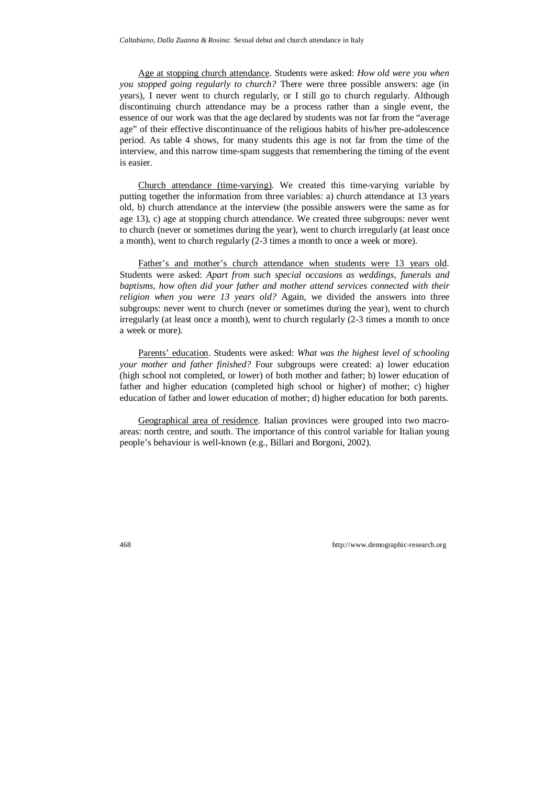Age at stopping church attendance. Students were asked: *How old were you when you stopped going regularly to church?* There were three possible answers: age (in years), I never went to church regularly, or I still go to church regularly. Although discontinuing church attendance may be a process rather than a single event, the essence of our work was that the age declared by students was not far from the "average age" of their effective discontinuance of the religious habits of his/her pre-adolescence period. As table 4 shows, for many students this age is not far from the time of the interview, and this narrow time-spam suggests that remembering the timing of the event is easier.

Church attendance (time-varying). We created this time-varying variable by putting together the information from three variables: a) church attendance at 13 years old, b) church attendance at the interview (the possible answers were the same as for age 13), c) age at stopping church attendance. We created three subgroups: never went to church (never or sometimes during the year), went to church irregularly (at least once a month), went to church regularly (2-3 times a month to once a week or more).

Father's and mother's church attendance when students were 13 years old. Students were asked: *Apart from such special occasions as weddings, funerals and baptisms, how often did your father and mother attend services connected with their religion when you were 13 years old?* Again, we divided the answers into three subgroups: never went to church (never or sometimes during the year), went to church irregularly (at least once a month), went to church regularly (2-3 times a month to once a week or more).

Parents' education. Students were asked: *What was the highest level of schooling your mother and father finished?* Four subgroups were created: a) lower education (high school not completed, or lower) of both mother and father; b) lower education of father and higher education (completed high school or higher) of mother; c) higher education of father and lower education of mother; d) higher education for both parents.

Geographical area of residence. Italian provinces were grouped into two macroareas: north centre, and south. The importance of this control variable for Italian young people's behaviour is well-known (e.g., Billari and Borgoni, 2002).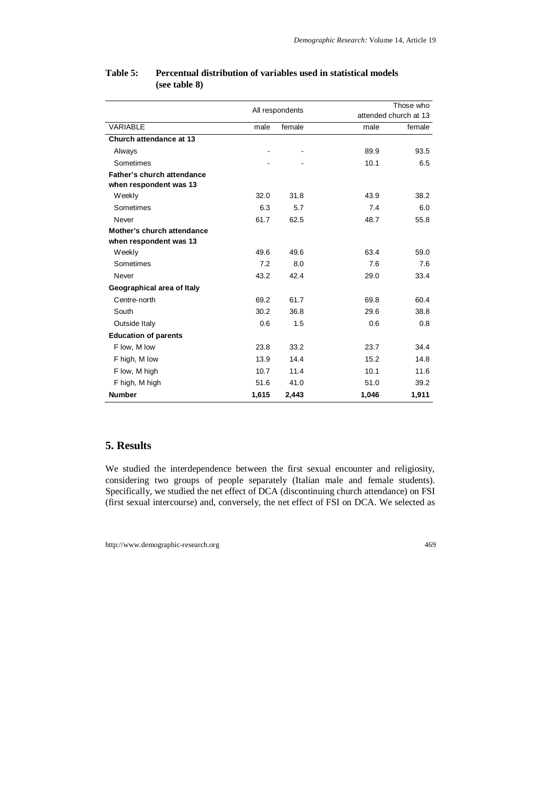|                             | All respondents |        |       | Those who             |
|-----------------------------|-----------------|--------|-------|-----------------------|
|                             |                 |        |       | attended church at 13 |
| VARIABLE                    | male            | female | male  | female                |
| Church attendance at 13     |                 |        |       |                       |
| Always                      |                 |        | 89.9  | 93.5                  |
| Sometimes                   |                 |        | 10.1  | 6.5                   |
| Father's church attendance  |                 |        |       |                       |
| when respondent was 13      |                 |        |       |                       |
| Weekly                      | 32.0            | 31.8   | 43.9  | 38.2                  |
| Sometimes                   | 6.3             | 5.7    | 7.4   | 6.0                   |
| Never                       | 61.7            | 62.5   | 48.7  | 55.8                  |
| Mother's church attendance  |                 |        |       |                       |
| when respondent was 13      |                 |        |       |                       |
| Weekly                      | 49.6            | 49.6   | 63.4  | 59.0                  |
| Sometimes                   | 7.2             | 8.0    | 7.6   | 7.6                   |
| Never                       | 43.2            | 42.4   | 29.0  | 33.4                  |
| Geographical area of Italy  |                 |        |       |                       |
| Centre-north                | 69.2            | 61.7   | 69.8  | 60.4                  |
| South                       | 30.2            | 36.8   | 29.6  | 38.8                  |
| Outside Italy               | 0.6             | 1.5    | 0.6   | 0.8                   |
| <b>Education of parents</b> |                 |        |       |                       |
| F low, M low                | 23.8            | 33.2   | 23.7  | 34.4                  |
| F high, M low               | 13.9            | 14.4   | 15.2  | 14.8                  |
| F low, M high               | 10.7            | 11.4   | 10.1  | 11.6                  |
| F high, M high              | 51.6            | 41.0   | 51.0  | 39.2                  |
| <b>Number</b>               | 1,615           | 2,443  | 1,046 | 1,911                 |

### **Table 5: Percentual distribution of variables used in statistical models (see table 8)**

## **5. Results**

We studied the interdependence between the first sexual encounter and religiosity, considering two groups of people separately (Italian male and female students). Specifically, we studied the net effect of DCA (discontinuing church attendance) on FSI (first sexual intercourse) and, conversely, the net effect of FSI on DCA. We selected as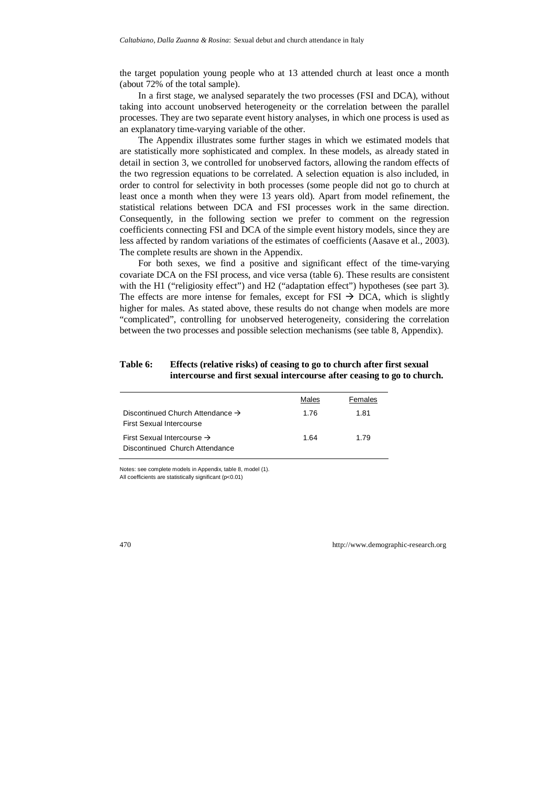the target population young people who at 13 attended church at least once a month (about 72% of the total sample).

In a first stage, we analysed separately the two processes (FSI and DCA), without taking into account unobserved heterogeneity or the correlation between the parallel processes. They are two separate event history analyses, in which one process is used as an explanatory time-varying variable of the other.

The Appendix illustrates some further stages in which we estimated models that are statistically more sophisticated and complex. In these models, as already stated in detail in section 3, we controlled for unobserved factors, allowing the random effects of the two regression equations to be correlated. A selection equation is also included, in order to control for selectivity in both processes (some people did not go to church at least once a month when they were 13 years old). Apart from model refinement, the statistical relations between DCA and FSI processes work in the same direction. Consequently, in the following section we prefer to comment on the regression coefficients connecting FSI and DCA of the simple event history models, since they are less affected by random variations of the estimates of coefficients (Aasave et al., 2003). The complete results are shown in the Appendix.

For both sexes, we find a positive and significant effect of the time-varying covariate DCA on the FSI process, and vice versa (table 6). These results are consistent with the H1 ("religiosity effect") and H2 ("adaptation effect") hypotheses (see part 3). The effects are more intense for females, except for FSI  $\rightarrow$  DCA, which is slightly higher for males. As stated above, these results do not change when models are more "complicated", controlling for unobserved heterogeneity, considering the correlation between the two processes and possible selection mechanisms (see table 8, Appendix).

### **Table 6: Effects (relative risks) of ceasing to go to church after first sexual intercourse and first sexual intercourse after ceasing to go to church.**

|                                                                                 | Males | Females |
|---------------------------------------------------------------------------------|-------|---------|
| Discontinued Church Attendance $\rightarrow$<br><b>First Sexual Intercourse</b> | 1.76  | 1.81    |
| First Sexual Intercourse $\rightarrow$<br>Discontinued Church Attendance        | 1.64  | 1.79    |

Notes: see complete models in Appendix, table 8, model (1). All coefficients are statistically significant (p<0.01)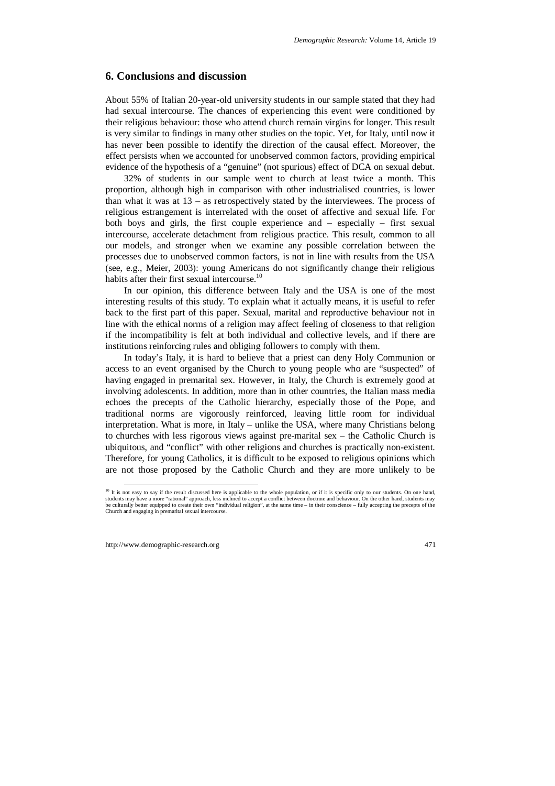## **6. Conclusions and discussion**

About 55% of Italian 20-year-old university students in our sample stated that they had had sexual intercourse. The chances of experiencing this event were conditioned by their religious behaviour: those who attend church remain virgins for longer. This result is very similar to findings in many other studies on the topic. Yet, for Italy, until now it has never been possible to identify the direction of the causal effect. Moreover, the effect persists when we accounted for unobserved common factors, providing empirical evidence of the hypothesis of a "genuine" (not spurious) effect of DCA on sexual debut.

32% of students in our sample went to church at least twice a month. This proportion, although high in comparison with other industrialised countries, is lower than what it was at  $13 -$  as retrospectively stated by the interviewees. The process of religious estrangement is interrelated with the onset of affective and sexual life. For both boys and girls, the first couple experience and – especially – first sexual intercourse, accelerate detachment from religious practice. This result, common to all our models, and stronger when we examine any possible correlation between the processes due to unobserved common factors, is not in line with results from the USA (see, e.g., Meier, 2003): young Americans do not significantly change their religious habits after their first sexual intercourse.<sup>10</sup>

In our opinion, this difference between Italy and the USA is one of the most interesting results of this study. To explain what it actually means, it is useful to refer back to the first part of this paper. Sexual, marital and reproductive behaviour not in line with the ethical norms of a religion may affect feeling of closeness to that religion if the incompatibility is felt at both individual and collective levels, and if there are institutions reinforcing rules and obliging followers to comply with them.

In today's Italy, it is hard to believe that a priest can deny Holy Communion or access to an event organised by the Church to young people who are "suspected" of having engaged in premarital sex. However, in Italy, the Church is extremely good at involving adolescents. In addition, more than in other countries, the Italian mass media echoes the precepts of the Catholic hierarchy, especially those of the Pope, and traditional norms are vigorously reinforced, leaving little room for individual interpretation. What is more, in Italy – unlike the USA, where many Christians belong to churches with less rigorous views against pre-marital sex – the Catholic Church is ubiquitous, and "conflict" with other religions and churches is practically non-existent. Therefore, for young Catholics, it is difficult to be exposed to religious opinions which are not those proposed by the Catholic Church and they are more unlikely to be

<sup>&</sup>lt;sup>10</sup> It is not easy to say if the result discussed here is applicable to the whole population, or if it is specific only to our students. On one hand, students may have a more "rational" approach, less inclined to accept a conflict between doctrine and behaviour. On the other hand, students may be culturally better equipped to create their own "individual religion", at the same time – in their conscience – fully accepting the precepts of the Church and engaging in premarital sexual intercourse.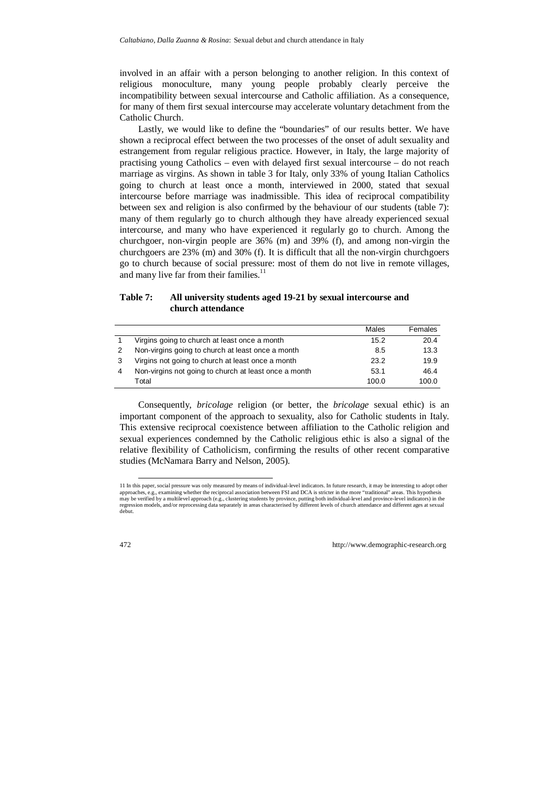involved in an affair with a person belonging to another religion. In this context of religious monoculture, many young people probably clearly perceive the incompatibility between sexual intercourse and Catholic affiliation. As a consequence, for many of them first sexual intercourse may accelerate voluntary detachment from the Catholic Church.

Lastly, we would like to define the "boundaries" of our results better. We have shown a reciprocal effect between the two processes of the onset of adult sexuality and estrangement from regular religious practice. However, in Italy, the large majority of practising young Catholics – even with delayed first sexual intercourse – do not reach marriage as virgins. As shown in table 3 for Italy, only 33% of young Italian Catholics going to church at least once a month, interviewed in 2000, stated that sexual intercourse before marriage was inadmissible. This idea of reciprocal compatibility between sex and religion is also confirmed by the behaviour of our students (table 7): many of them regularly go to church although they have already experienced sexual intercourse, and many who have experienced it regularly go to church. Among the churchgoer, non-virgin people are 36% (m) and 39% (f), and among non-virgin the churchgoers are 23% (m) and 30% (f). It is difficult that all the non-virgin churchgoers go to church because of social pressure: most of them do not live in remote villages, and many live far from their families. $11$ 

## **Table 7: All university students aged 19-21 by sexual intercourse and church attendance**

|    |                                                       | Males | Females |
|----|-------------------------------------------------------|-------|---------|
| -1 | Virgins going to church at least once a month         | 15.2  | 20.4    |
| 2  | Non-virgins going to church at least once a month     | 8.5   | 13.3    |
| 3  | Virgins not going to church at least once a month     | 23.2  | 19.9    |
| 4  | Non-virgins not going to church at least once a month | 53.1  | 46.4    |
|    | Total                                                 | 100.0 | 100.0   |

Consequently, *bricolage* religion (or better, the *bricolage* sexual ethic) is an important component of the approach to sexuality, also for Catholic students in Italy. This extensive reciprocal coexistence between affiliation to the Catholic religion and sexual experiences condemned by the Catholic religious ethic is also a signal of the relative flexibility of Catholicism, confirming the results of other recent comparative studies (McNamara Barry and Nelson, 2005).

 <sup>11</sup> In this paper, social pressure was only measured by means of individual-level indicators. In future research, it may be interesting to adopt other approaches, e.g., examining whether the reciprocal association between FSI and DCA is stricter in the more "traditional" areas. This hypothesis may be verified by a multilevel approach (e.g., clustering students by province, putting both individual-level and province-level indicators) in the regression models, and/or reprocessing data separately in areas characterised by different levels of church attendance and different ages at sexual debut.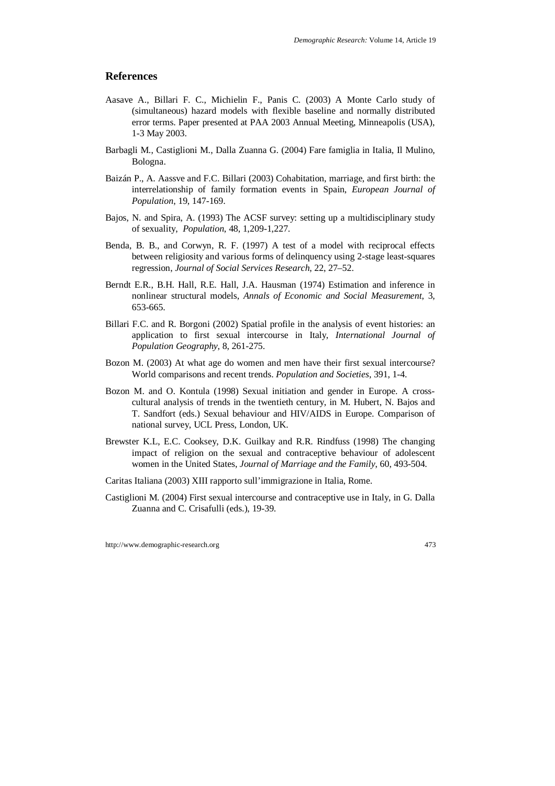## **References**

- Aasave A., Billari F. C., Michielin F., Panis C. (2003) A Monte Carlo study of (simultaneous) hazard models with flexible baseline and normally distributed error terms. Paper presented at PAA 2003 Annual Meeting, Minneapolis (USA), 1-3 May 2003.
- Barbagli M., Castiglioni M., Dalla Zuanna G. (2004) Fare famiglia in Italia, Il Mulino, Bologna.
- Baizán P., A. Aassve and F.C. Billari (2003) Cohabitation, marriage, and first birth: the interrelationship of family formation events in Spain, *European Journal of Population*, 19, 147-169.
- Bajos, N. and Spira, A. (1993) The ACSF survey: setting up a multidisciplinary study of sexuality, *Population*, 48, 1,209-1,227.
- Benda, B. B., and Corwyn, R. F. (1997) A test of a model with reciprocal effects between religiosity and various forms of delinquency using 2-stage least-squares regression, *Journal of Social Services Research*, 22, 27–52.
- Berndt E.R., B.H. Hall, R.E. Hall, J.A. Hausman (1974) Estimation and inference in nonlinear structural models, *Annals of Economic and Social Measurement*, 3, 653-665.
- Billari F.C. and R. Borgoni (2002) Spatial profile in the analysis of event histories: an application to first sexual intercourse in Italy, *International Journal of Population Geography*, 8, 261-275.
- Bozon M. (2003) At what age do women and men have their first sexual intercourse? World comparisons and recent trends. *Population and Societies*, 391, 1-4.
- Bozon M. and O. Kontula (1998) Sexual initiation and gender in Europe. A crosscultural analysis of trends in the twentieth century, in M. Hubert, N. Bajos and T. Sandfort (eds.) Sexual behaviour and HIV/AIDS in Europe. Comparison of national survey, UCL Press, London, UK.
- Brewster K.L, E.C. Cooksey, D.K. Guilkay and R.R. Rindfuss (1998) The changing impact of religion on the sexual and contraceptive behaviour of adolescent women in the United States, *Journal of Marriage and the Family*, 60, 493-504.
- Caritas Italiana (2003) XIII rapporto sull'immigrazione in Italia, Rome.
- Castiglioni M. (2004) First sexual intercourse and contraceptive use in Italy, in G. Dalla Zuanna and C. Crisafulli (eds.), 19-39.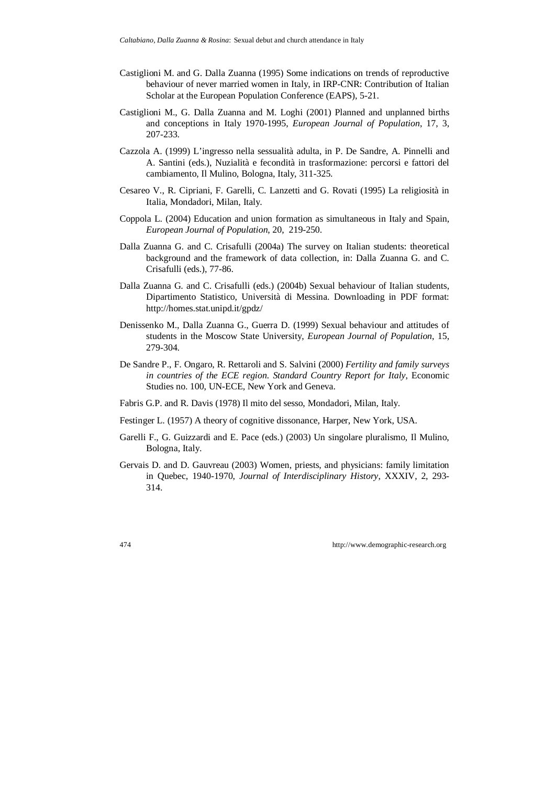- Castiglioni M. and G. Dalla Zuanna (1995) Some indications on trends of reproductive behaviour of never married women in Italy, in IRP-CNR: Contribution of Italian Scholar at the European Population Conference (EAPS), 5-21.
- Castiglioni M., G. Dalla Zuanna and M. Loghi (2001) Planned and unplanned births and conceptions in Italy 1970-1995, *European Journal of Population*, 17, 3, 207-233.
- Cazzola A. (1999) L'ingresso nella sessualità adulta, in P. De Sandre, A. Pinnelli and A. Santini (eds.), Nuzialità e fecondità in trasformazione: percorsi e fattori del cambiamento, Il Mulino, Bologna, Italy, 311-325.
- Cesareo V., R. Cipriani, F. Garelli, C. Lanzetti and G. Rovati (1995) La religiosità in Italia, Mondadori, Milan, Italy.
- Coppola L. (2004) Education and union formation as simultaneous in Italy and Spain, *European Journal of Population*, 20, 219-250.
- Dalla Zuanna G. and C. Crisafulli (2004a) The survey on Italian students: theoretical background and the framework of data collection, in: Dalla Zuanna G. and C. Crisafulli (eds.), 77-86.
- Dalla Zuanna G. and C. Crisafulli (eds.) (2004b) Sexual behaviour of Italian students, Dipartimento Statistico, Università di Messina. Downloading in PDF format: http://homes.stat.unipd.it/gpdz/
- Denissenko M., Dalla Zuanna G., Guerra D. (1999) Sexual behaviour and attitudes of students in the Moscow State University, *European Journal of Population*, 15, 279-304.
- De Sandre P., F. Ongaro, R. Rettaroli and S. Salvini (2000) *Fertility and family surveys in countries of the ECE region. Standard Country Report for Italy*, Economic Studies no. 100, UN-ECE, New York and Geneva.
- Fabris G.P. and R. Davis (1978) Il mito del sesso, Mondadori, Milan, Italy.
- Festinger L. (1957) A theory of cognitive dissonance, Harper, New York, USA.
- Garelli F., G. Guizzardi and E. Pace (eds.) (2003) Un singolare pluralismo, Il Mulino, Bologna, Italy.
- Gervais D. and D. Gauvreau (2003) Women, priests, and physicians: family limitation in Quebec, 1940-1970, *Journal of Interdisciplinary History*, XXXIV, 2, 293- 314.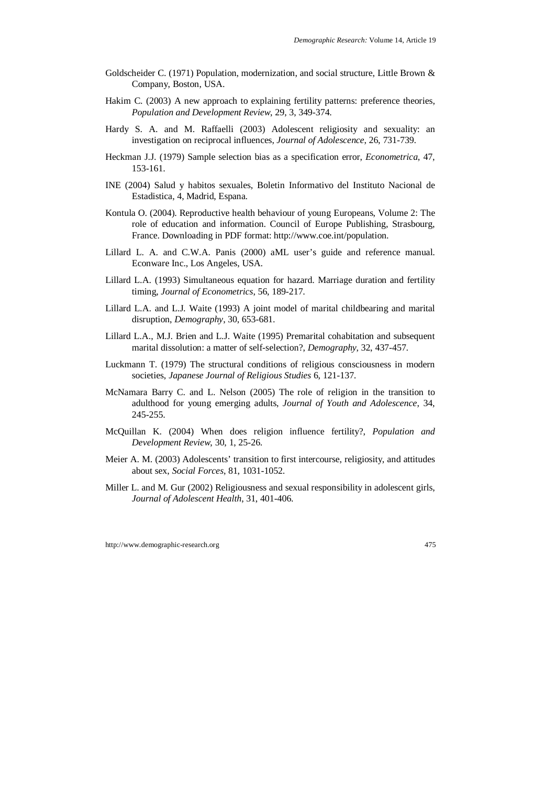- Goldscheider C. (1971) Population, modernization, and social structure, Little Brown & Company, Boston, USA.
- Hakim C. (2003) A new approach to explaining fertility patterns: preference theories, *Population and Development Review*, 29, 3, 349-374.
- Hardy S. A. and M. Raffaelli (2003) Adolescent religiosity and sexuality: an investigation on reciprocal influences, *Journal of Adolescence*, 26, 731-739.
- Heckman J.J. (1979) Sample selection bias as a specification error, *Econometrica*, 47, 153-161.
- INE (2004) Salud y habitos sexuales, Boletin Informativo del Instituto Nacional de Estadistica, 4, Madrid, Espana.
- Kontula O. (2004). Reproductive health behaviour of young Europeans, Volume 2: The role of education and information. Council of Europe Publishing, Strasbourg, France. Downloading in PDF format: http://www.coe.int/population.
- Lillard L. A. and C.W.A. Panis (2000) aML user's guide and reference manual. Econware Inc., Los Angeles, USA.
- Lillard L.A. (1993) Simultaneous equation for hazard. Marriage duration and fertility timing, *Journal of Econometrics*, 56, 189-217.
- Lillard L.A. and L.J. Waite (1993) A joint model of marital childbearing and marital disruption, *Demography*, 30, 653-681.
- Lillard L.A., M.J. Brien and L.J. Waite (1995) Premarital cohabitation and subsequent marital dissolution: a matter of self-selection?, *Demography*, 32, 437-457.
- Luckmann T. (1979) The structural conditions of religious consciousness in modern societies, *Japanese Journal of Religious Studies* 6, 121-137.
- McNamara Barry C. and L. Nelson (2005) The role of religion in the transition to adulthood for young emerging adults, *Journal of Youth and Adolescence*, 34, 245-255.
- McQuillan K. (2004) When does religion influence fertility?, *Population and Development Review*, 30, 1, 25-26.
- Meier A. M. (2003) Adolescents' transition to first intercourse, religiosity, and attitudes about sex, *Social Forces*, 81, 1031-1052.
- Miller L. and M. Gur (2002) Religiousness and sexual responsibility in adolescent girls, *Journal of Adolescent Health*, 31, 401-406.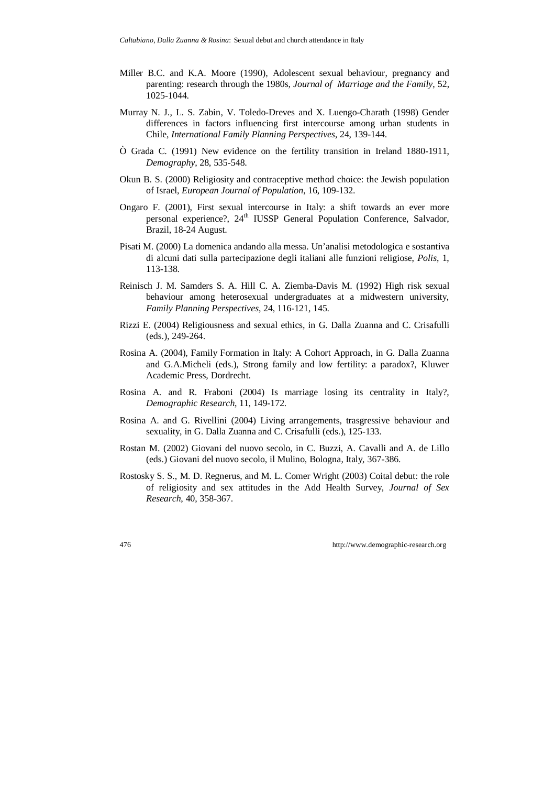- Miller B.C. and K.A. Moore (1990), Adolescent sexual behaviour, pregnancy and parenting: research through the 1980s, *Journal of Marriage and the Family*, 52, 1025-1044.
- Murray N. J., L. S. Zabin, V. Toledo-Dreves and X. Luengo-Charath (1998) Gender differences in factors influencing first intercourse among urban students in Chile, *International Family Planning Perspectives*, 24, 139-144.
- Ò Grada C. (1991) New evidence on the fertility transition in Ireland 1880-1911, *Demography*, 28, 535-548.
- Okun B. S. (2000) Religiosity and contraceptive method choice: the Jewish population of Israel, *European Journal of Population*, 16, 109-132.
- Ongaro F. (2001), First sexual intercourse in Italy: a shift towards an ever more personal experience?, 24<sup>th</sup> IUSSP General Population Conference, Salvador, Brazil, 18-24 August.
- Pisati M. (2000) La domenica andando alla messa. Un'analisi metodologica e sostantiva di alcuni dati sulla partecipazione degli italiani alle funzioni religiose, *Polis*, 1, 113-138.
- Reinisch J. M. Samders S. A. Hill C. A. Ziemba-Davis M. (1992) High risk sexual behaviour among heterosexual undergraduates at a midwestern university, *Family Planning Perspectives*, 24, 116-121, 145.
- Rizzi E. (2004) Religiousness and sexual ethics, in G. Dalla Zuanna and C. Crisafulli (eds.), 249-264.
- Rosina A. (2004), Family Formation in Italy: A Cohort Approach, in G. Dalla Zuanna and G.A.Micheli (eds.), Strong family and low fertility: a paradox?, Kluwer Academic Press, Dordrecht.
- Rosina A. and R. Fraboni (2004) Is marriage losing its centrality in Italy?, *Demographic Research*, 11, 149-172.
- Rosina A. and G. Rivellini (2004) Living arrangements, trasgressive behaviour and sexuality, in G. Dalla Zuanna and C. Crisafulli (eds.), 125-133.
- Rostan M. (2002) Giovani del nuovo secolo, in C. Buzzi, A. Cavalli and A. de Lillo (eds.) Giovani del nuovo secolo, il Mulino, Bologna, Italy, 367-386.
- Rostosky S. S., M. D. Regnerus, and M. L. Comer Wright (2003) Coital debut: the role of religiosity and sex attitudes in the Add Health Survey, *Journal of Sex Research*, 40, 358-367.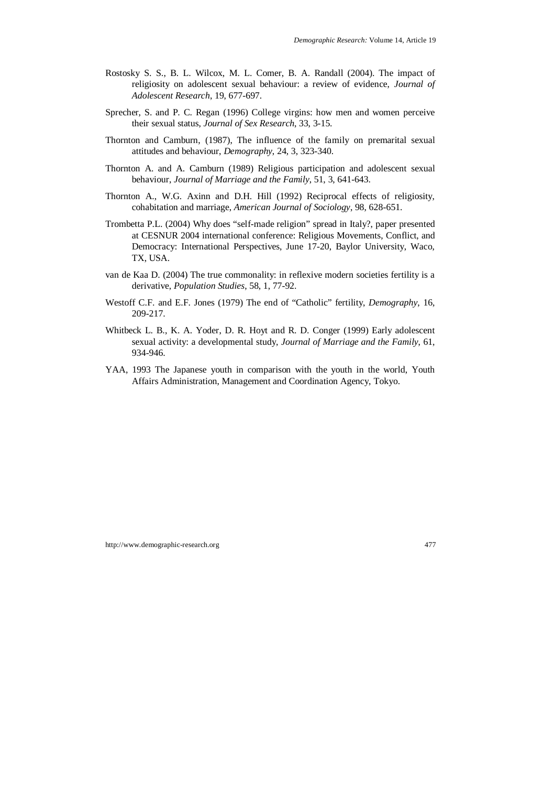- Rostosky S. S., B. L. Wilcox, M. L. Comer, B. A. Randall (2004). The impact of religiosity on adolescent sexual behaviour: a review of evidence, *Journal of Adolescent Research*, 19, 677-697.
- Sprecher, S. and P. C. Regan (1996) College virgins: how men and women perceive their sexual status, *Journal of Sex Research*, 33, 3-15.
- Thornton and Camburn, (1987), The influence of the family on premarital sexual attitudes and behaviour, *Demography*, 24, 3, 323-340.
- Thornton A. and A. Camburn (1989) Religious participation and adolescent sexual behaviour, *Journal of Marriage and the Family*, 51, 3, 641-643.
- Thornton A., W.G. Axinn and D.H. Hill (1992) Reciprocal effects of religiosity, cohabitation and marriage, *American Journal of Sociology*, 98, 628-651.
- Trombetta P.L. (2004) Why does "self-made religion" spread in Italy?, paper presented at CESNUR 2004 international conference: Religious Movements, Conflict, and Democracy: International Perspectives, June 17-20, Baylor University, Waco, TX, USA.
- van de Kaa D. (2004) The true commonality: in reflexive modern societies fertility is a derivative, *Population Studies*, 58, 1, 77-92.
- Westoff C.F. and E.F. Jones (1979) The end of "Catholic" fertility, *Demography*, 16, 209-217.
- Whitbeck L. B., K. A. Yoder, D. R. Hoyt and R. D. Conger (1999) Early adolescent sexual activity: a developmental study, *Journal of Marriage and the Family*, 61, 934-946.
- YAA, 1993 The Japanese youth in comparison with the youth in the world, Youth Affairs Administration, Management and Coordination Agency, Tokyo.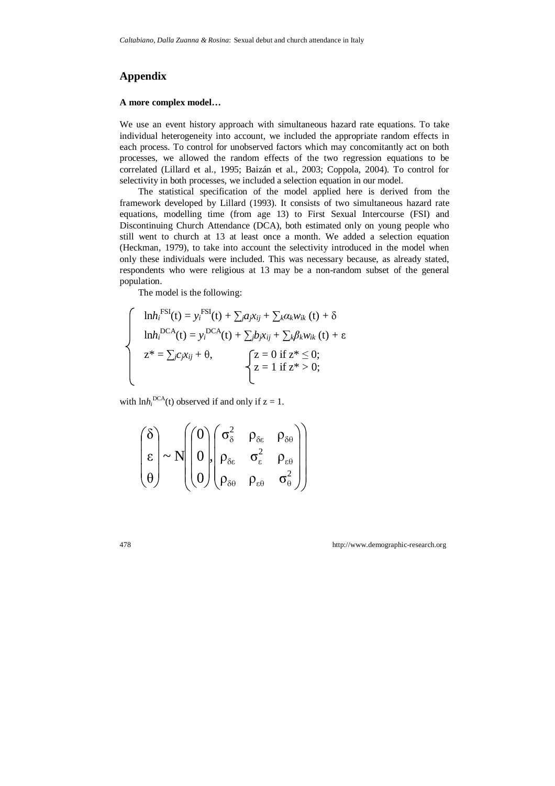## **Appendix**

#### **A more complex model…**

We use an event history approach with simultaneous hazard rate equations. To take individual heterogeneity into account, we included the appropriate random effects in each process. To control for unobserved factors which may concomitantly act on both processes, we allowed the random effects of the two regression equations to be correlated (Lillard et al., 1995; Baizán et al., 2003; Coppola, 2004). To control for selectivity in both processes, we included a selection equation in our model.

The statistical specification of the model applied here is derived from the framework developed by Lillard (1993). It consists of two simultaneous hazard rate equations, modelling time (from age 13) to First Sexual Intercourse (FSI) and Discontinuing Church Attendance (DCA), both estimated only on young people who still went to church at 13 at least once a month. We added a selection equation (Heckman, 1979), to take into account the selectivity introduced in the model when only these individuals were included. This was necessary because, as already stated, respondents who were religious at 13 may be a non-random subset of the general population.

The model is the following:

$$
\begin{cases}\n\ln h_i^{\text{FSI}}(t) = y_i^{\text{FSI}}(t) + \sum_j a_j x_{ij} + \sum_k \alpha_k w_{ik} (t) + \delta \\
\ln h_i^{\text{DCA}}(t) = y_i^{\text{DCA}}(t) + \sum_j b_j x_{ij} + \sum_k \beta_k w_{ik} (t) + \varepsilon \\
z^* = \sum_j c_j x_{ij} + \theta, & \begin{cases}\nz = 0 \text{ if } z^* \leq 0; \\
z = 1 \text{ if } z^* > 0;\n\end{cases}\n\end{cases}
$$

with  $\ln h_i^{\text{DCA}}(t)$  observed if and only if  $z = 1$ .

$$
\begin{pmatrix}\n\delta \\
\epsilon \\
\theta\n\end{pmatrix} \sim N \begin{pmatrix}\n0 \\
0 \\
0\n\end{pmatrix}, \begin{pmatrix}\n\sigma_{\delta}^2 & \rho_{\delta \epsilon} & \rho_{\delta \theta} \\
\rho_{\delta \epsilon} & \sigma_{\epsilon}^2 & \rho_{\epsilon \theta} \\
\rho_{\delta \theta} & \rho_{\epsilon \theta} & \sigma_{\theta}^2\n\end{pmatrix}
$$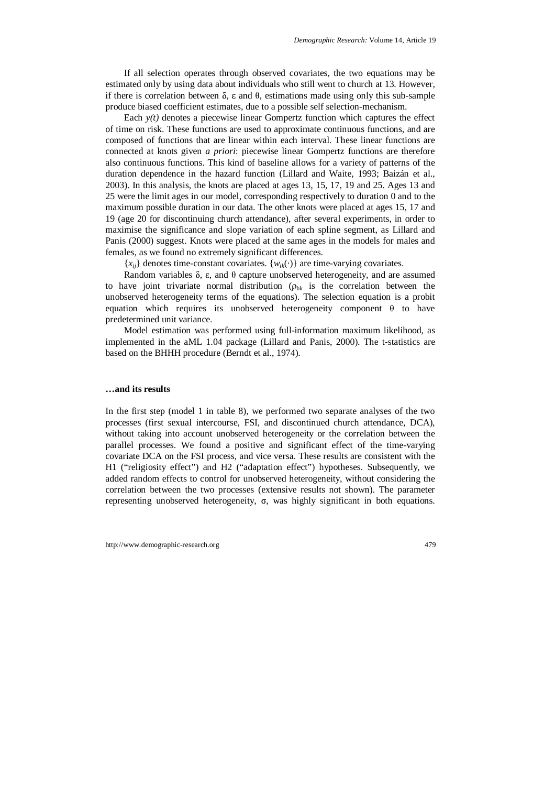If all selection operates through observed covariates, the two equations may be estimated only by using data about individuals who still went to church at 13. However, if there is correlation between  $\delta$ ,  $\varepsilon$  and  $\theta$ , estimations made using only this sub-sample produce biased coefficient estimates, due to a possible self selection-mechanism.

Each  $y(t)$  denotes a piecewise linear Gompertz function which captures the effect of time on risk. These functions are used to approximate continuous functions, and are composed of functions that are linear within each interval. These linear functions are connected at knots given *a priori*: piecewise linear Gompertz functions are therefore also continuous functions. This kind of baseline allows for a variety of patterns of the duration dependence in the hazard function (Lillard and Waite, 1993; Baizán et al., 2003). In this analysis, the knots are placed at ages 13, 15, 17, 19 and 25. Ages 13 and 25 were the limit ages in our model, corresponding respectively to duration 0 and to the maximum possible duration in our data. The other knots were placed at ages 15, 17 and 19 (age 20 for discontinuing church attendance), after several experiments, in order to maximise the significance and slope variation of each spline segment, as Lillard and Panis (2000) suggest. Knots were placed at the same ages in the models for males and females, as we found no extremely significant differences.

 ${x_{ij}}$  denotes time-constant covariates.  ${w_{ik}}(\cdot)$  are time-varying covariates.

Random variables  $\delta$ ,  $\varepsilon$ , and  $\theta$  capture unobserved heterogeneity, and are assumed to have joint trivariate normal distribution ( $\rho_{hk}$  is the correlation between the unobserved heterogeneity terms of the equations). The selection equation is a probit equation which requires its unobserved heterogeneity component  $\theta$  to have predetermined unit variance.

Model estimation was performed using full-information maximum likelihood, as implemented in the aML 1.04 package (Lillard and Panis, 2000). The t-statistics are based on the BHHH procedure (Berndt et al., 1974).

#### **…and its results**

In the first step (model 1 in table 8), we performed two separate analyses of the two processes (first sexual intercourse, FSI, and discontinued church attendance, DCA), without taking into account unobserved heterogeneity or the correlation between the parallel processes. We found a positive and significant effect of the time-varying covariate DCA on the FSI process, and vice versa. These results are consistent with the H1 ("religiosity effect") and H2 ("adaptation effect") hypotheses. Subsequently, we added random effects to control for unobserved heterogeneity, without considering the correlation between the two processes (extensive results not shown). The parameter representing unobserved heterogeneity, σ, was highly significant in both equations.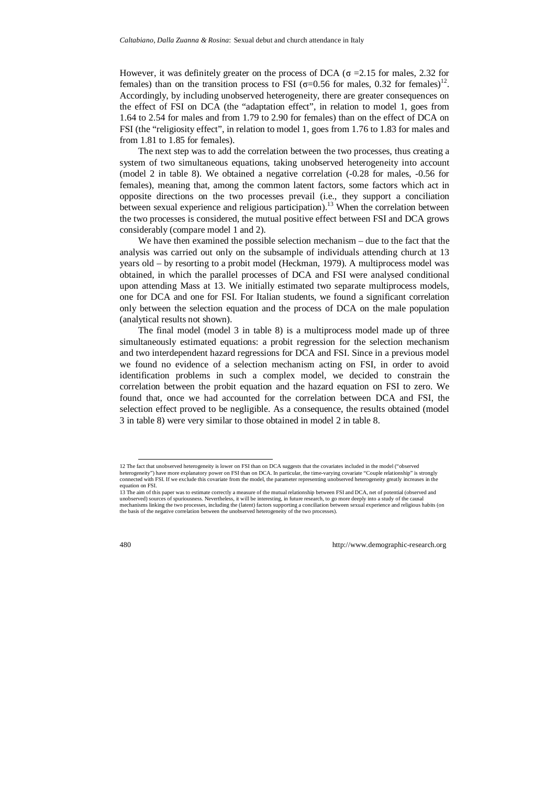However, it was definitely greater on the process of DCA ( $\sigma$  = 2.15 for males, 2.32 for females) than on the transition process to FSI ( $\sigma$ =0.56 for males, 0.32 for females)<sup>12</sup>. Accordingly, by including unobserved heterogeneity, there are greater consequences on the effect of FSI on DCA (the "adaptation effect", in relation to model 1, goes from 1.64 to 2.54 for males and from 1.79 to 2.90 for females) than on the effect of DCA on FSI (the "religiosity effect", in relation to model 1, goes from 1.76 to 1.83 for males and from 1.81 to 1.85 for females).

The next step was to add the correlation between the two processes, thus creating a system of two simultaneous equations, taking unobserved heterogeneity into account (model 2 in table 8). We obtained a negative correlation (-0.28 for males, -0.56 for females), meaning that, among the common latent factors, some factors which act in opposite directions on the two processes prevail (i.e., they support a conciliation between sexual experience and religious participation).<sup>13</sup> When the correlation between the two processes is considered, the mutual positive effect between FSI and DCA grows considerably (compare model 1 and 2).

We have then examined the possible selection mechanism – due to the fact that the analysis was carried out only on the subsample of individuals attending church at 13 years old – by resorting to a probit model (Heckman, 1979). A multiprocess model was obtained, in which the parallel processes of DCA and FSI were analysed conditional upon attending Mass at 13. We initially estimated two separate multiprocess models, one for DCA and one for FSI. For Italian students, we found a significant correlation only between the selection equation and the process of DCA on the male population (analytical results not shown).

The final model (model 3 in table 8) is a multiprocess model made up of three simultaneously estimated equations: a probit regression for the selection mechanism and two interdependent hazard regressions for DCA and FSI. Since in a previous model we found no evidence of a selection mechanism acting on FSI, in order to avoid identification problems in such a complex model, we decided to constrain the correlation between the probit equation and the hazard equation on FSI to zero. We found that, once we had accounted for the correlation between DCA and FSI, the selection effect proved to be negligible. As a consequence, the results obtained (model 3 in table 8) were very similar to those obtained in model 2 in table 8.

 <sup>12</sup> The fact that unobserved heterogeneity is lower on FSI than on DCA suggests that the covariates included in the model ("observed heterogeneity") have more explanatory power on FSI than on DCA. In particular, the time-varying covariate "Couple relationship" is strongly connected with FSI. If we exclude this covariate from the model, the parameter representing unobserved heterogeneity greatly increases in the equation on FSI.

<sup>13</sup> The aim of this paper was to estimate correctly a measure of the mutual relationship between FSI and DCA, net of potential (observed and unobserved) sources of spuriousness. Nevertheless, it will be interesting, in future research, to go more deeply into a study of the causal mechanisms linking the two processes, including the (latent) factors supporting a conciliation between sexual experience and religious habits (on the basis of the negative correlation between the unobserved heterogeneity of the two processes).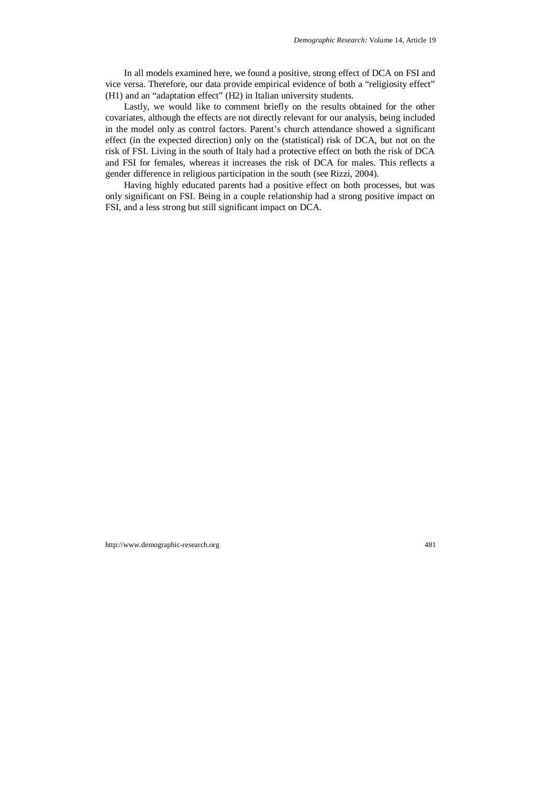In all models examined here, we found a positive, strong effect of DCA on FSI and vice versa. Therefore, our data provide empirical evidence of both a "religiosity effect" (H1) and an "adaptation effect" (H2) in Italian university students.

Lastly, we would like to comment briefly on the results obtained for the other covariates, although the effects are not directly relevant for our analysis, being included in the model only as control factors. Parent's church attendance showed a significant effect (in the expected direction) only on the (statistical) risk of DCA, but not on the risk of FSI. Living in the south of Italy had a protective effect on both the risk of DCA and FSI for females, whereas it increases the risk of DCA for males. This reflects a gender difference in religious participation in the south (see Rizzi, 2004).

Having highly educated parents had a positive effect on both processes, but was only significant on FSI. Being in a couple relationship had a strong positive impact on FSI, and a less strong but still significant impact on DCA.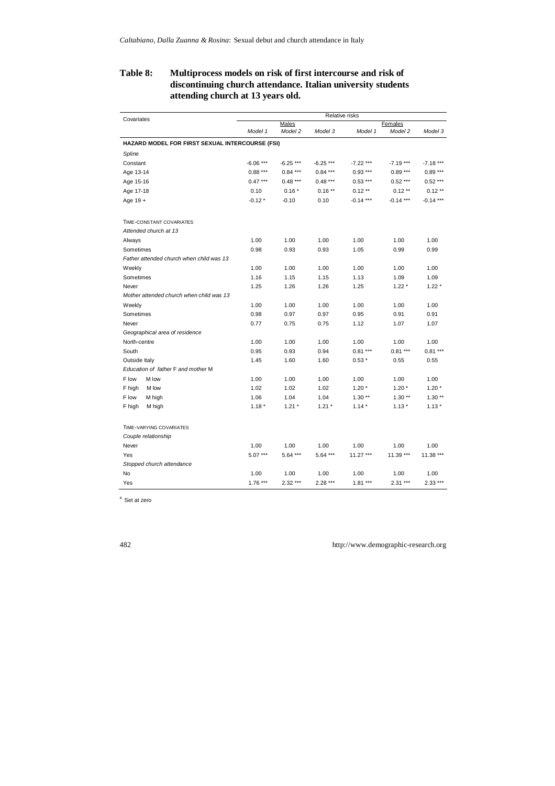## **Table 8: Multiprocess models on risk of first intercourse and risk of discontinuing church attendance. Italian university students attending church at 13 years old.**

|                                                 | Relative risks |                  |            |             |                    |            |
|-------------------------------------------------|----------------|------------------|------------|-------------|--------------------|------------|
| Covariates                                      | Model 1        | Males<br>Model 2 | Model 3    | Model 1     | Females<br>Model 2 | Model 3    |
| HAZARD MODEL FOR FIRST SEXUAL INTERCOURSE (FSI) |                |                  |            |             |                    |            |
| Spline                                          |                |                  |            |             |                    |            |
| Constant                                        | $-6.06***$     | $-6.25***$       | $-6.25***$ | $-7.22$ *** | $-7.19***$         | $-7.18***$ |
| Age 13-14                                       | $0.88***$      | $0.84***$        | $0.84***$  | $0.93***$   | $0.89***$          | $0.89***$  |
| Age 15-16                                       | $0.47***$      | $0.48***$        | $0.48***$  | $0.53***$   | $0.52***$          | $0.52***$  |
| Age 17-18                                       | 0.10           | $0.16*$          | $0.16**$   | $0.12**$    | $0.12**$           | $0.12**$   |
| Age 19 +                                        | $-0.12*$       | $-0.10$          | 0.10       | $-0.14***$  | $-0.14***$         | $-0.14***$ |
| TIME-CONSTANT COVARIATES                        |                |                  |            |             |                    |            |
| Attended church at 13                           |                |                  |            |             |                    |            |
| Always                                          | 1.00           | 1.00             | 1.00       | 1.00        | 1.00               | 1.00       |
| Sometimes                                       | 0.98           | 0.93             | 0.93       | 1.05        | 0.99               | 0.99       |
| Father attended church when child was 13        |                |                  |            |             |                    |            |
| Weekly                                          | 1.00           | 1.00             | 1.00       | 1.00        | 1.00               | 1.00       |
| Sometimes                                       | 1.16           | 1.15             | 1.15       | 1.13        | 1.09               | 1.09       |
| Never                                           | 1.25           | 1.26             | 1.26       | 1.25        | $1.22*$            | $1.22*$    |
| Mother attended church when child was 13        |                |                  |            |             |                    |            |
| Weekly                                          | 1.00           | 1.00             | 1.00       | 1.00        | 1.00               | 1.00       |
| Sometimes                                       | 0.98           | 0.97             | 0.97       | 0.95        | 0.91               | 0.91       |
| Never                                           | 0.77           | 0.75             | 0.75       | 1.12        | 1.07               | 1.07       |
| Geographical area of residence                  |                |                  |            |             |                    |            |
| North-centre                                    | 1.00           | 1.00             | 1.00       | 1.00        | 1.00               | 1.00       |
| South                                           | 0.95           | 0.93             | 0.94       | $0.81***$   | $0.81***$          | $0.81***$  |
| Outside Italy                                   | 1.45           | 1.60             | 1.60       | $0.53*$     | 0.55               | 0.55       |
| Education of father F and mother M              |                |                  |            |             |                    |            |
| M low<br>F low                                  | 1.00           | 1.00             | 1.00       | 1.00        | 1.00               | 1.00       |
| F high<br>M low                                 | 1.02           | 1.02             | 1.02       | $1.20*$     | $1.20*$            | $1.20*$    |
| F low<br>M high                                 | 1.06           | 1.04             | 1.04       | $1.30**$    | $1.30**$           | $1.30**$   |
| F high<br>M high                                | $1.18*$        | $1.21*$          | $1.21 *$   | $1.14*$     | $1.13*$            | $1.13*$    |
| TIME-VARYING COVARIATES                         |                |                  |            |             |                    |            |
| Couple relationship                             |                |                  |            |             |                    |            |
| Never                                           | 1.00           | 1.00             | 1.00       | 1.00        | 1.00               | 1.00       |
| Yes                                             | $5.07***$      | 5.64 ***         | $5.64***$  | 11.27 ***   | 11.39 ***          | 11.38 ***  |
| Stopped church attendance                       |                |                  |            |             |                    |            |
| No                                              | 1.00           | 1.00             | 1.00       | 1.00        | 1.00               | 1.00       |
| Yes                                             | $1.76***$      | $2.32***$        | $2.28***$  | $1.81***$   | $2.31***$          | $2.33***$  |

<sup>a</sup> Set at zero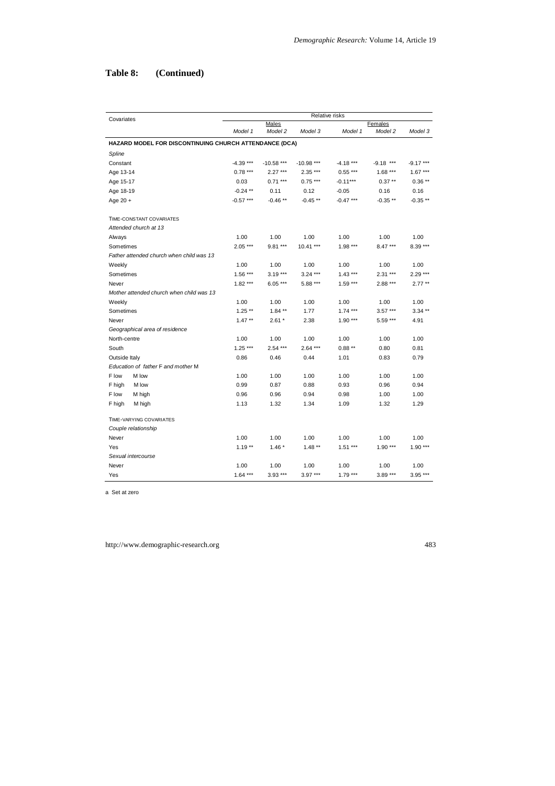## **Table 8: (Continued)**

|                    |                                                        | Relative risks |              |              |            |             |            |
|--------------------|--------------------------------------------------------|----------------|--------------|--------------|------------|-------------|------------|
| Covariates         |                                                        |                | Males        |              |            | Females     |            |
|                    |                                                        | Model 1        | Model 2      | Model 3      | Model 1    | Model 2     | Model 3    |
|                    | HAZARD MODEL FOR DISCONTINUING CHURCH ATTENDANCE (DCA) |                |              |              |            |             |            |
| Spline             |                                                        |                |              |              |            |             |            |
| Constant           |                                                        | $-4.39***$     | $-10.58$ *** | $-10.98$ *** | $-4.18***$ | $-9.18$ *** | $-9.17***$ |
| Age 13-14          |                                                        | $0.78***$      | $2.27***$    | 2.35 ***     | $0.55***$  | $1.68***$   | $1.67***$  |
| Age 15-17          |                                                        | 0.03           | $0.71***$    | $0.75***$    | $-0.11***$ | $0.37**$    | $0.36**$   |
| Age 18-19          |                                                        | $-0.24$ **     | 0.11         | 0.12         | $-0.05$    | 0.16        | 0.16       |
| Age 20 +           |                                                        | $-0.57***$     | $-0.46**$    | $-0.45**$    | $-0.47***$ | $-0.35**$   | $-0.35**$  |
|                    | TIME-CONSTANT COVARIATES                               |                |              |              |            |             |            |
|                    | Attended church at 13                                  |                |              |              |            |             |            |
| Always             |                                                        | 1.00           | 1.00         | 1.00         | 1.00       | 1.00        | 1.00       |
| Sometimes          |                                                        | $2.05***$      | $9.81***$    | $10.41***$   | $1.98***$  | $8.47***$   | $8.39***$  |
|                    | Father attended church when child was 13               |                |              |              |            |             |            |
| Weekly             |                                                        | 1.00           | 1.00         | 1.00         | 1.00       | 1.00        | 1.00       |
| Sometimes          |                                                        | $1.56***$      | $3.19***$    | $3.24***$    | $1.43***$  | $2.31***$   | $2.29***$  |
| Never              |                                                        | $1.82***$      | $6.05***$    | 5.88 ***     | $1.59***$  | $2.88***$   | $2.77***$  |
|                    | Mother attended church when child was 13               |                |              |              |            |             |            |
| Weekly             |                                                        | 1.00           | 1.00         | 1.00         | 1.00       | 1.00        | 1.00       |
| Sometimes          |                                                        | $1.25***$      | $1.84***$    | 1.77         | $1.74***$  | $3.57***$   | $3.34***$  |
| Never              |                                                        | $1.47**$       | $2.61*$      | 2.38         | $1.90***$  | 5.59 ***    | 4.91       |
|                    | Geographical area of residence                         |                |              |              |            |             |            |
| North-centre       |                                                        | 1.00           | 1.00         | 1.00         | 1.00       | 1.00        | 1.00       |
| South              |                                                        | $1.25***$      | $2.54***$    | $2.64***$    | $0.88**$   | 0.80        | 0.81       |
| Outside Italy      |                                                        | 0.86           | 0.46         | 0.44         | 1.01       | 0.83        | 0.79       |
|                    | Education of father F and mother M                     |                |              |              |            |             |            |
| F low              | M low                                                  | 1.00           | 1.00         | 1.00         | 1.00       | 1.00        | 1.00       |
| F high             | M low                                                  | 0.99           | 0.87         | 0.88         | 0.93       | 0.96        | 0.94       |
| F low              | M high                                                 | 0.96           | 0.96         | 0.94         | 0.98       | 1.00        | 1.00       |
| F high             | M high                                                 | 1.13           | 1.32         | 1.34         | 1.09       | 1.32        | 1.29       |
|                    | TIME-VARYING COVARIATES                                |                |              |              |            |             |            |
|                    | Couple relationship                                    |                |              |              |            |             |            |
| Never              |                                                        | 1.00           | 1.00         | 1.00         | 1.00       | 1.00        | 1.00       |
| Yes                |                                                        | $1.19**$       | $1.46*$      | $1.48**$     | $1.51***$  | $1.90***$   | $1.90***$  |
| Sexual intercourse |                                                        |                |              |              |            |             |            |
| Never              |                                                        | 1.00           | 1.00         | 1.00         | 1.00       | 1.00        | 1.00       |
| Yes                |                                                        | $1.64***$      | $3.93***$    | $3.97***$    | $1.79***$  | $3.89***$   | $3.95***$  |

a Set at zero